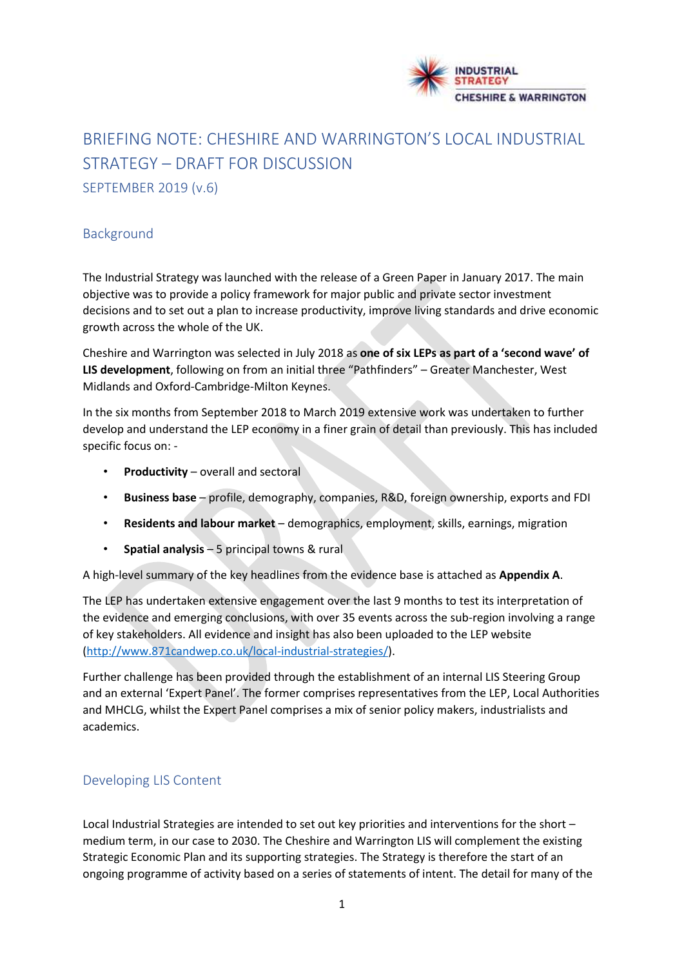

# BRIEFING NOTE: CHESHIRE AND WARRINGTON'S LOCAL INDUSTRIAL STRATEGY – DRAFT FOR DISCUSSION SEPTEMBER 2019 (v.6)

# Background

The Industrial Strategy was launched with the release of a Green Paper in January 2017. The main objective was to provide a policy framework for major public and private sector investment decisions and to set out a plan to increase productivity, improve living standards and drive economic growth across the whole of the UK.

Cheshire and Warrington was selected in July 2018 as **one of six LEPs as part of a 'second wave' of LIS development**, following on from an initial three "Pathfinders" – Greater Manchester, West Midlands and Oxford-Cambridge-Milton Keynes.

In the six months from September 2018 to March 2019 extensive work was undertaken to further develop and understand the LEP economy in a finer grain of detail than previously. This has included specific focus on: -

- **Productivity** overall and sectoral
- **Business base** profile, demography, companies, R&D, foreign ownership, exports and FDI
- **Residents and labour market** demographics, employment, skills, earnings, migration
- **Spatial analysis** 5 principal towns & rural

A high-level summary of the key headlines from the evidence base is attached as **Appendix A**.

The LEP has undertaken extensive engagement over the last 9 months to test its interpretation of the evidence and emerging conclusions, with over 35 events across the sub-region involving a range of key stakeholders. All evidence and insight has also been uploaded to the LEP website (http://www.871candwep.co.uk/local-industrial-strategies/).

Further challenge has been provided through the establishment of an internal LIS Steering Group and an external 'Expert Panel'. The former comprises representatives from the LEP, Local Authorities and MHCLG, whilst the Expert Panel comprises a mix of senior policy makers, industrialists and academics.

# Developing LIS Content

Local Industrial Strategies are intended to set out key priorities and interventions for the short – medium term, in our case to 2030. The Cheshire and Warrington LIS will complement the existing Strategic Economic Plan and its supporting strategies. The Strategy is therefore the start of an ongoing programme of activity based on a series of statements of intent. The detail for many of the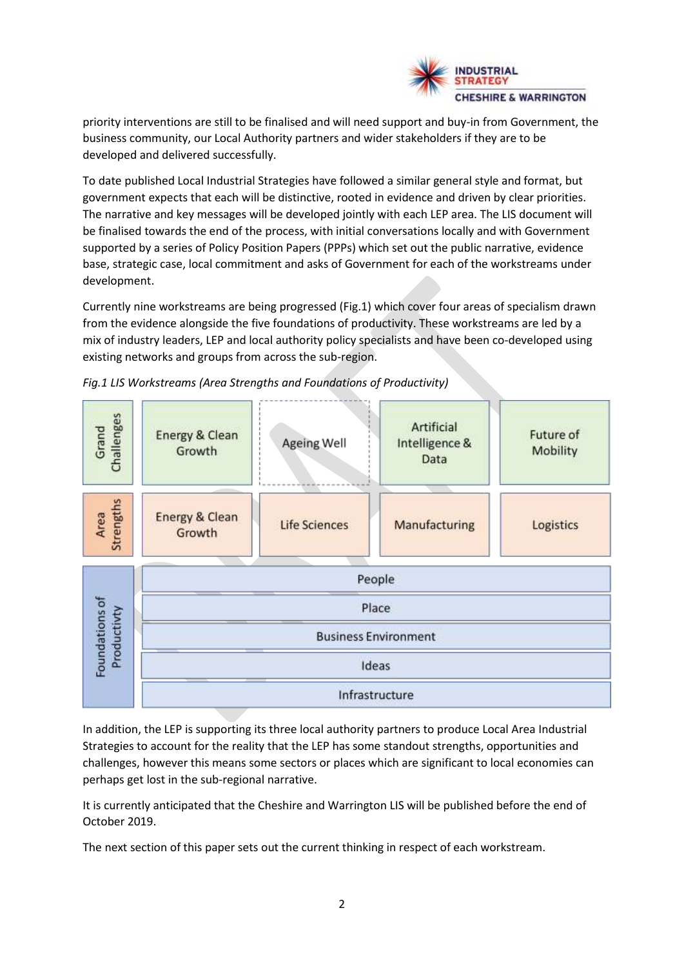

priority interventions are still to be finalised and will need support and buy-in from Government, the business community, our Local Authority partners and wider stakeholders if they are to be developed and delivered successfully.

To date published Local Industrial Strategies have followed a similar general style and format, but government expects that each will be distinctive, rooted in evidence and driven by clear priorities. The narrative and key messages will be developed jointly with each LEP area. The LIS document will be finalised towards the end of the process, with initial conversations locally and with Government supported by a series of Policy Position Papers (PPPs) which set out the public narrative, evidence base, strategic case, local commitment and asks of Government for each of the workstreams under development.

Currently nine workstreams are being progressed (Fig.1) which cover four areas of specialism drawn from the evidence alongside the five foundations of productivity. These workstreams are led by a mix of industry leaders, LEP and local authority policy specialists and have been co-developed using existing networks and groups from across the sub-region.



*Fig.1 LIS Workstreams (Area Strengths and Foundations of Productivity)*

In addition, the LEP is supporting its three local authority partners to produce Local Area Industrial Strategies to account for the reality that the LEP has some standout strengths, opportunities and challenges, however this means some sectors or places which are significant to local economies can perhaps get lost in the sub-regional narrative.

It is currently anticipated that the Cheshire and Warrington LIS will be published before the end of October 2019.

The next section of this paper sets out the current thinking in respect of each workstream.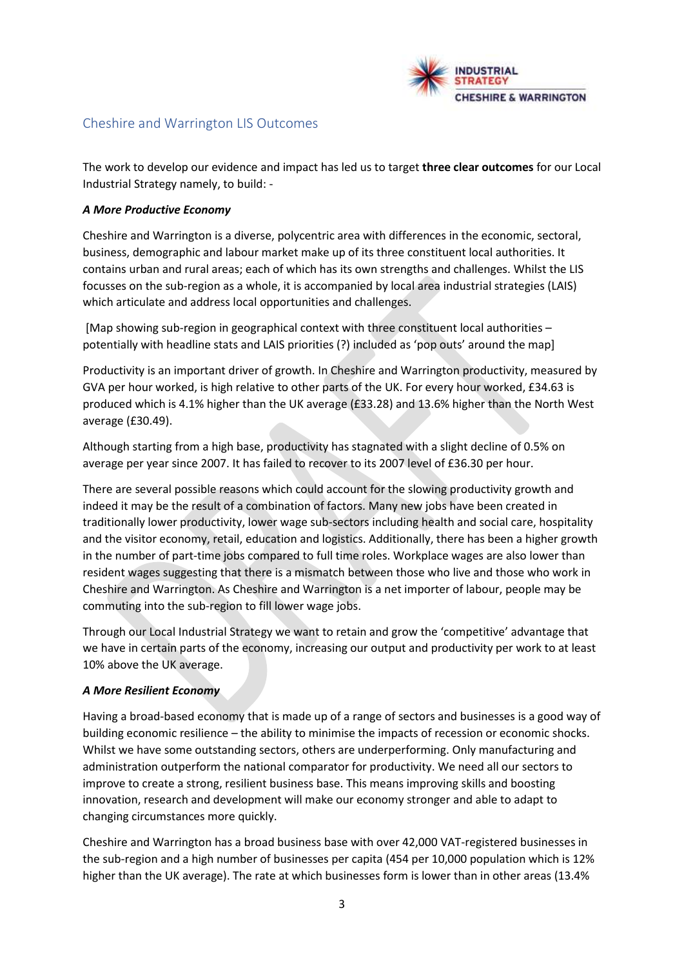

# Cheshire and Warrington LIS Outcomes

The work to develop our evidence and impact has led us to target **three clear outcomes** for our Local Industrial Strategy namely, to build: -

#### *A More Productive Economy*

Cheshire and Warrington is a diverse, polycentric area with differences in the economic, sectoral, business, demographic and labour market make up of its three constituent local authorities. It contains urban and rural areas; each of which has its own strengths and challenges. Whilst the LIS focusses on the sub-region as a whole, it is accompanied by local area industrial strategies (LAIS) which articulate and address local opportunities and challenges.

[Map showing sub-region in geographical context with three constituent local authorities – potentially with headline stats and LAIS priorities (?) included as 'pop outs' around the map]

Productivity is an important driver of growth. In Cheshire and Warrington productivity, measured by GVA per hour worked, is high relative to other parts of the UK. For every hour worked, £34.63 is produced which is 4.1% higher than the UK average (£33.28) and 13.6% higher than the North West average (£30.49).

Although starting from a high base, productivity has stagnated with a slight decline of 0.5% on average per year since 2007. It has failed to recover to its 2007 level of £36.30 per hour.

There are several possible reasons which could account for the slowing productivity growth and indeed it may be the result of a combination of factors. Many new jobs have been created in traditionally lower productivity, lower wage sub-sectors including health and social care, hospitality and the visitor economy, retail, education and logistics. Additionally, there has been a higher growth in the number of part-time jobs compared to full time roles. Workplace wages are also lower than resident wages suggesting that there is a mismatch between those who live and those who work in Cheshire and Warrington. As Cheshire and Warrington is a net importer of labour, people may be commuting into the sub-region to fill lower wage jobs.

Through our Local Industrial Strategy we want to retain and grow the 'competitive' advantage that we have in certain parts of the economy, increasing our output and productivity per work to at least 10% above the UK average.

#### *A More Resilient Economy*

Having a broad-based economy that is made up of a range of sectors and businesses is a good way of building economic resilience – the ability to minimise the impacts of recession or economic shocks. Whilst we have some outstanding sectors, others are underperforming. Only manufacturing and administration outperform the national comparator for productivity. We need all our sectors to improve to create a strong, resilient business base. This means improving skills and boosting innovation, research and development will make our economy stronger and able to adapt to changing circumstances more quickly.

Cheshire and Warrington has a broad business base with over 42,000 VAT-registered businesses in the sub-region and a high number of businesses per capita (454 per 10,000 population which is 12% higher than the UK average). The rate at which businesses form is lower than in other areas (13.4%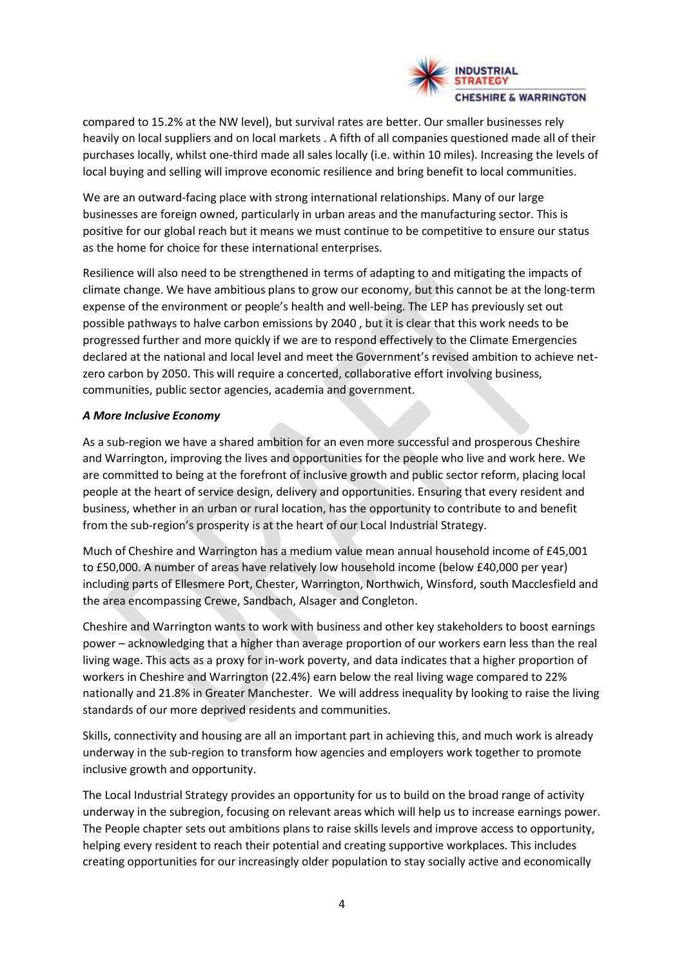

compared to 15.2% at the NW level), but survival rates are better. Our smaller businesses rely heavily on local suppliers and on local markets . A fifth of all companies questioned made all of their purchases locally, whilst one-third made all sales locally (i.e. within 10 miles). Increasing the levels of local buying and selling will improve economic resilience and bring benefit to local communities.

We are an outward-facing place with strong international relationships. Many of our large businesses are foreign owned, particularly in urban areas and the manufacturing sector. This is positive for our global reach but it means we must continue to be competitive to ensure our status as the home for choice for these international enterprises.

Resilience will also need to be strengthened in terms of adapting to and mitigating the impacts of climate change. We have ambitious plans to grow our economy, but this cannot be at the long-term expense of the environment or people's health and well-being. The LEP has previously set out possible pathways to halve carbon emissions by 2040 , but it is clear that this work needs to be progressed further and more quickly if we are to respond effectively to the Climate Emergencies declared at the national and local level and meet the Government's revised ambition to achieve netzero carbon by 2050. This will require a concerted, collaborative effort involving business, communities, public sector agencies, academia and government.

#### *A More Inclusive Economy*

As a sub-region we have a shared ambition for an even more successful and prosperous Cheshire and Warrington, improving the lives and opportunities for the people who live and work here. We are committed to being at the forefront of inclusive growth and public sector reform, placing local people at the heart of service design, delivery and opportunities. Ensuring that every resident and business, whether in an urban or rural location, has the opportunity to contribute to and benefit from the sub-region's prosperity is at the heart of our Local Industrial Strategy.

Much of Cheshire and Warrington has a medium value mean annual household income of £45,001 to £50,000. A number of areas have relatively low household income (below £40,000 per year) including parts of Ellesmere Port, Chester, Warrington, Northwich, Winsford, south Macclesfield and the area encompassing Crewe, Sandbach, Alsager and Congleton.

Cheshire and Warrington wants to work with business and other key stakeholders to boost earnings power – acknowledging that a higher than average proportion of our workers earn less than the real living wage. This acts as a proxy for in-work poverty, and data indicates that a higher proportion of workers in Cheshire and Warrington (22.4%) earn below the real living wage compared to 22% nationally and 21.8% in Greater Manchester. We will address inequality by looking to raise the living standards of our more deprived residents and communities.

Skills, connectivity and housing are all an important part in achieving this, and much work is already underway in the sub-region to transform how agencies and employers work together to promote inclusive growth and opportunity.

The Local Industrial Strategy provides an opportunity for us to build on the broad range of activity underway in the subregion, focusing on relevant areas which will help us to increase earnings power. The People chapter sets out ambitions plans to raise skills levels and improve access to opportunity, helping every resident to reach their potential and creating supportive workplaces. This includes creating opportunities for our increasingly older population to stay socially active and economically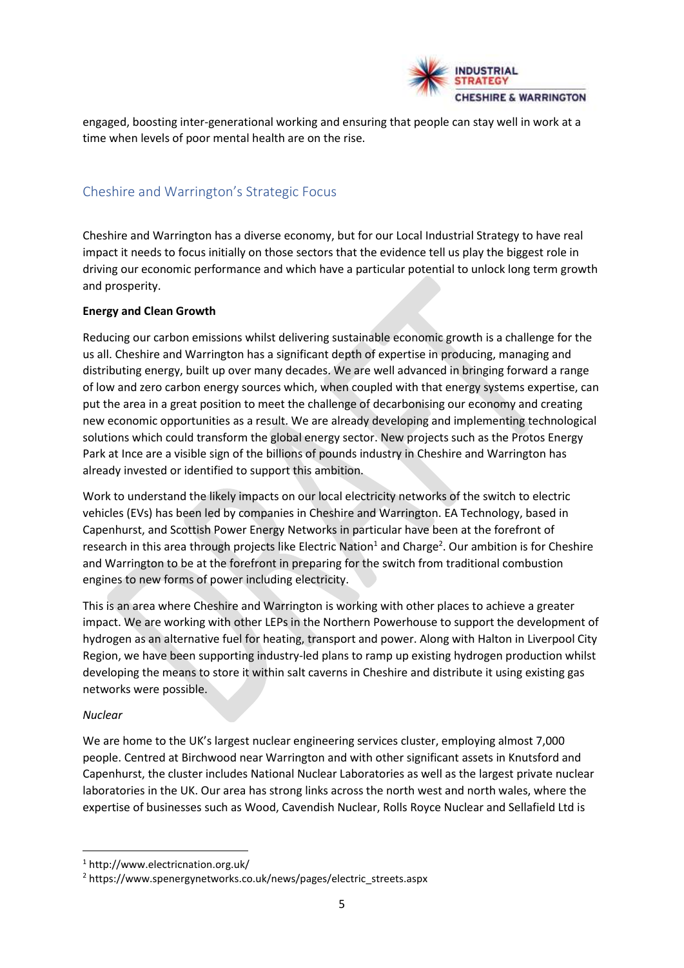

engaged, boosting inter-generational working and ensuring that people can stay well in work at a time when levels of poor mental health are on the rise.

# Cheshire and Warrington's Strategic Focus

Cheshire and Warrington has a diverse economy, but for our Local Industrial Strategy to have real impact it needs to focus initially on those sectors that the evidence tell us play the biggest role in driving our economic performance and which have a particular potential to unlock long term growth and prosperity.

#### **Energy and Clean Growth**

Reducing our carbon emissions whilst delivering sustainable economic growth is a challenge for the us all. Cheshire and Warrington has a significant depth of expertise in producing, managing and distributing energy, built up over many decades. We are well advanced in bringing forward a range of low and zero carbon energy sources which, when coupled with that energy systems expertise, can put the area in a great position to meet the challenge of decarbonising our economy and creating new economic opportunities as a result. We are already developing and implementing technological solutions which could transform the global energy sector. New projects such as the Protos Energy Park at Ince are a visible sign of the billions of pounds industry in Cheshire and Warrington has already invested or identified to support this ambition.

Work to understand the likely impacts on our local electricity networks of the switch to electric vehicles (EVs) has been led by companies in Cheshire and Warrington. EA Technology, based in Capenhurst, and Scottish Power Energy Networks in particular have been at the forefront of research in this area through projects like Electric Nation<sup>1</sup> and Charge<sup>2</sup>. Our ambition is for Cheshire and Warrington to be at the forefront in preparing for the switch from traditional combustion engines to new forms of power including electricity.

This is an area where Cheshire and Warrington is working with other places to achieve a greater impact. We are working with other LEPs in the Northern Powerhouse to support the development of hydrogen as an alternative fuel for heating, transport and power. Along with Halton in Liverpool City Region, we have been supporting industry-led plans to ramp up existing hydrogen production whilst developing the means to store it within salt caverns in Cheshire and distribute it using existing gas networks were possible.

#### *Nuclear*

We are home to the UK's largest nuclear engineering services cluster, employing almost 7,000 people. Centred at Birchwood near Warrington and with other significant assets in Knutsford and Capenhurst, the cluster includes National Nuclear Laboratories as well as the largest private nuclear laboratories in the UK. Our area has strong links across the north west and north wales, where the expertise of businesses such as Wood, Cavendish Nuclear, Rolls Royce Nuclear and Sellafield Ltd is

<sup>1</sup> http://www.electricnation.org.uk/

<sup>2</sup> https://www.spenergynetworks.co.uk/news/pages/electric\_streets.aspx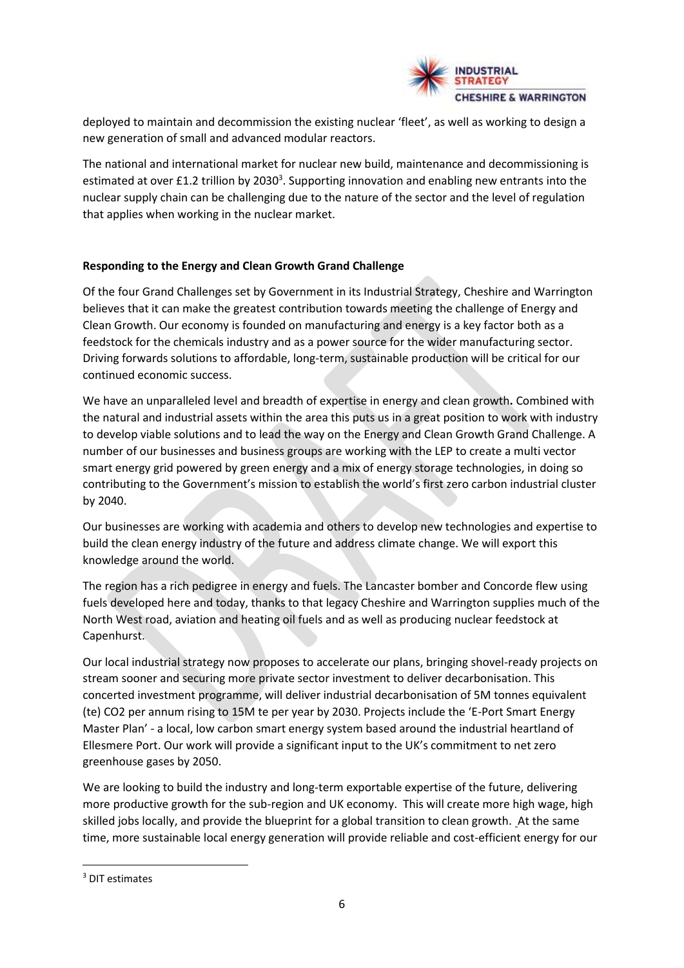

deployed to maintain and decommission the existing nuclear 'fleet', as well as working to design a new generation of small and advanced modular reactors.

The national and international market for nuclear new build, maintenance and decommissioning is estimated at over £1.2 trillion by 2030<sup>3</sup>. Supporting innovation and enabling new entrants into the nuclear supply chain can be challenging due to the nature of the sector and the level of regulation that applies when working in the nuclear market.

# **Responding to the Energy and Clean Growth Grand Challenge**

Of the four Grand Challenges set by Government in its Industrial Strategy, Cheshire and Warrington believes that it can make the greatest contribution towards meeting the challenge of Energy and Clean Growth. Our economy is founded on manufacturing and energy is a key factor both as a feedstock for the chemicals industry and as a power source for the wider manufacturing sector. Driving forwards solutions to affordable, long-term, sustainable production will be critical for our continued economic success.

We have an unparalleled level and breadth of expertise in energy and clean growth**.** Combined with the natural and industrial assets within the area this puts us in a great position to work with industry to develop viable solutions and to lead the way on the Energy and Clean Growth Grand Challenge. A number of our businesses and business groups are working with the LEP to create a multi vector smart energy grid powered by green energy and a mix of energy storage technologies, in doing so contributing to the Government's mission to establish the world's first zero carbon industrial cluster by 2040.

Our businesses are working with academia and others to develop new technologies and expertise to build the clean energy industry of the future and address climate change. We will export this knowledge around the world.

The region has a rich pedigree in energy and fuels. The Lancaster bomber and Concorde flew using fuels developed here and today, thanks to that legacy Cheshire and Warrington supplies much of the North West road, aviation and heating oil fuels and as well as producing nuclear feedstock at Capenhurst.

Our local industrial strategy now proposes to accelerate our plans, bringing shovel-ready projects on stream sooner and securing more private sector investment to deliver decarbonisation. This concerted investment programme, will deliver industrial decarbonisation of 5M tonnes equivalent (te) CO2 per annum rising to 15M te per year by 2030. Projects include the 'E-Port Smart Energy Master Plan' - a local, low carbon smart energy system based around the industrial heartland of Ellesmere Port. Our work will provide a significant input to the UK's commitment to net zero greenhouse gases by 2050.

We are looking to build the industry and long-term exportable expertise of the future, delivering more productive growth for the sub-region and UK economy. This will create more high wage, high skilled jobs locally, and provide the blueprint for a global transition to clean growth. At the same time, more sustainable local energy generation will provide reliable and cost-efficient energy for our

<sup>3</sup> DIT estimates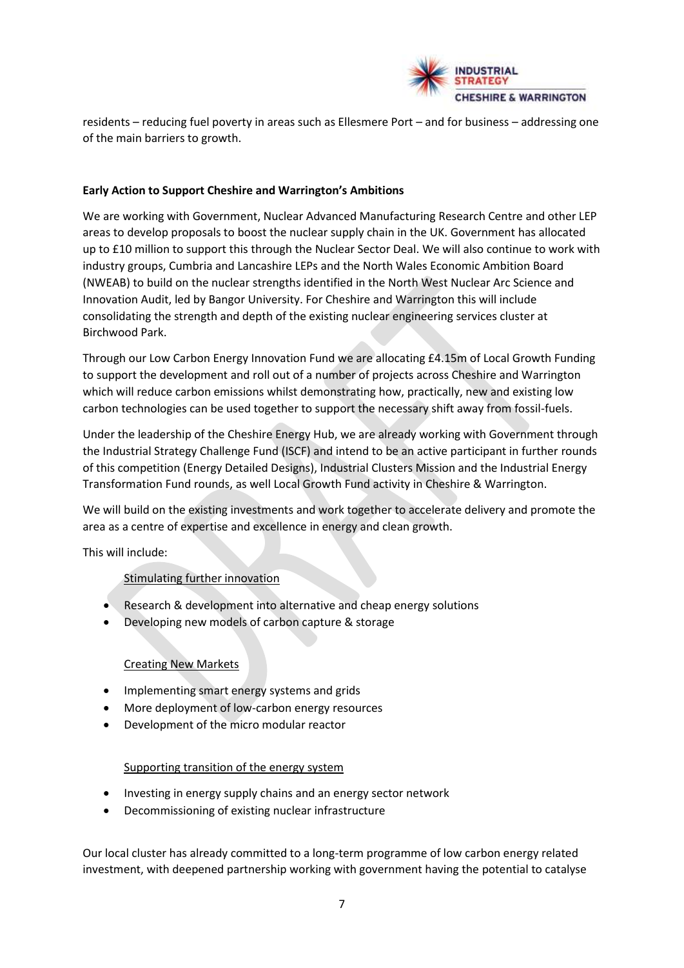

residents – reducing fuel poverty in areas such as Ellesmere Port – and for business – addressing one of the main barriers to growth.

#### **Early Action to Support Cheshire and Warrington's Ambitions**

We are working with Government, Nuclear Advanced Manufacturing Research Centre and other LEP areas to develop proposals to boost the nuclear supply chain in the UK. Government has allocated up to £10 million to support this through the Nuclear Sector Deal. We will also continue to work with industry groups, Cumbria and Lancashire LEPs and the North Wales Economic Ambition Board (NWEAB) to build on the nuclear strengths identified in the North West Nuclear Arc Science and Innovation Audit, led by Bangor University. For Cheshire and Warrington this will include consolidating the strength and depth of the existing nuclear engineering services cluster at Birchwood Park.

Through our Low Carbon Energy Innovation Fund we are allocating £4.15m of Local Growth Funding to support the development and roll out of a number of projects across Cheshire and Warrington which will reduce carbon emissions whilst demonstrating how, practically, new and existing low carbon technologies can be used together to support the necessary shift away from fossil-fuels.

Under the leadership of the Cheshire Energy Hub, we are already working with Government through the Industrial Strategy Challenge Fund (ISCF) and intend to be an active participant in further rounds of this competition (Energy Detailed Designs), Industrial Clusters Mission and the Industrial Energy Transformation Fund rounds, as well Local Growth Fund activity in Cheshire & Warrington.

We will build on the existing investments and work together to accelerate delivery and promote the area as a centre of expertise and excellence in energy and clean growth.

This will include:

# Stimulating further innovation

- Research & development into alternative and cheap energy solutions
- Developing new models of carbon capture & storage

# Creating New Markets

- Implementing smart energy systems and grids
- More deployment of low-carbon energy resources
- Development of the micro modular reactor

# Supporting transition of the energy system

- Investing in energy supply chains and an energy sector network
- Decommissioning of existing nuclear infrastructure

Our local cluster has already committed to a long-term programme of low carbon energy related investment, with deepened partnership working with government having the potential to catalyse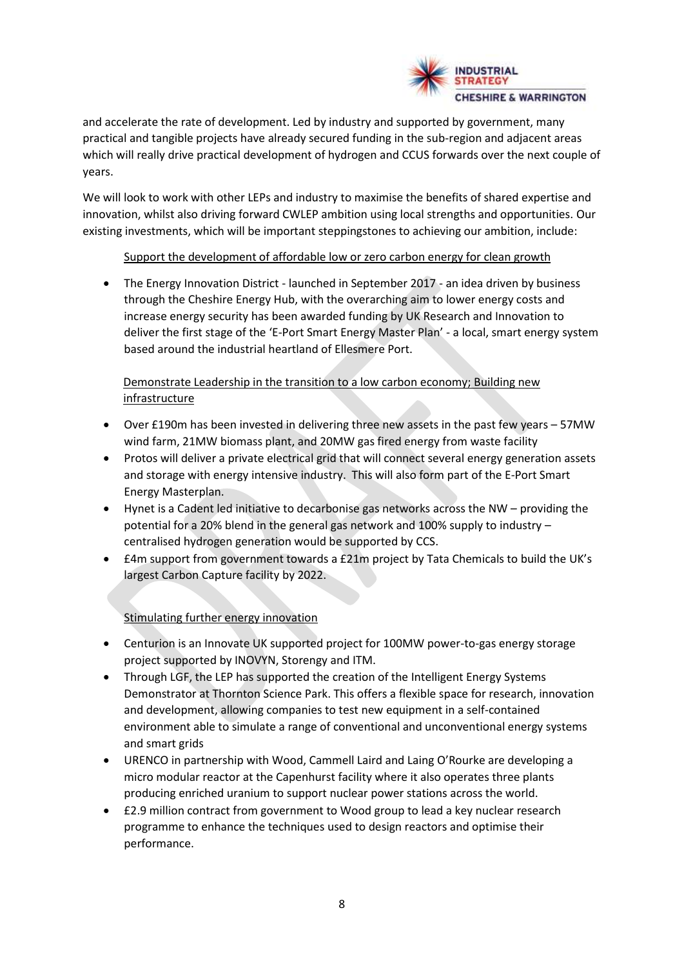

and accelerate the rate of development. Led by industry and supported by government, many practical and tangible projects have already secured funding in the sub-region and adjacent areas which will really drive practical development of hydrogen and CCUS forwards over the next couple of years.

We will look to work with other LEPs and industry to maximise the benefits of shared expertise and innovation, whilst also driving forward CWLEP ambition using local strengths and opportunities. Our existing investments, which will be important steppingstones to achieving our ambition, include:

# Support the development of affordable low or zero carbon energy for clean growth

• The Energy Innovation District - launched in September 2017 - an idea driven by business through the Cheshire Energy Hub, with the overarching aim to lower energy costs and increase energy security has been awarded funding by UK Research and Innovation to deliver the first stage of the 'E-Port Smart Energy Master Plan' - a local, smart energy system based around the industrial heartland of Ellesmere Port.

# Demonstrate Leadership in the transition to a low carbon economy; Building new infrastructure

- Over £190m has been invested in delivering three new assets in the past few years 57MW wind farm, 21MW biomass plant, and 20MW gas fired energy from waste facility
- Protos will deliver a private electrical grid that will connect several energy generation assets and storage with energy intensive industry. This will also form part of the E-Port Smart Energy Masterplan.
- Hynet is a Cadent led initiative to decarbonise gas networks across the NW providing the potential for a 20% blend in the general gas network and 100% supply to industry – centralised hydrogen generation would be supported by CCS.
- £4m support from government towards a £21m project by Tata Chemicals to build the UK's largest Carbon Capture facility by 2022.

# Stimulating further energy innovation

- Centurion is an Innovate UK supported project for 100MW power-to-gas energy storage project supported by INOVYN, Storengy and ITM.
- Through LGF, the LEP has supported the creation of the Intelligent Energy Systems Demonstrator at Thornton Science Park. This offers a flexible space for research, innovation and development, allowing companies to test new equipment in a self-contained environment able to simulate a range of conventional and unconventional energy systems and smart grids
- URENCO in partnership with Wood, Cammell Laird and Laing O'Rourke are developing a micro modular reactor at the Capenhurst facility where it also operates three plants producing enriched uranium to support nuclear power stations across the world.
- £2.9 million contract from government to Wood group to lead a key nuclear research programme to enhance the techniques used to design reactors and optimise their performance.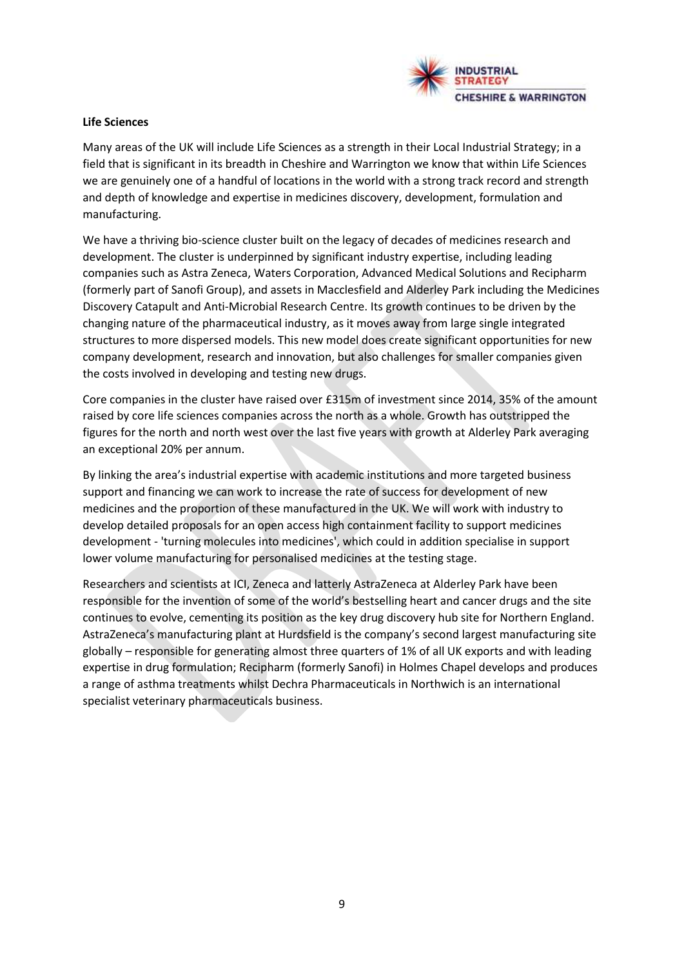

#### **Life Sciences**

Many areas of the UK will include Life Sciences as a strength in their Local Industrial Strategy; in a field that is significant in its breadth in Cheshire and Warrington we know that within Life Sciences we are genuinely one of a handful of locations in the world with a strong track record and strength and depth of knowledge and expertise in medicines discovery, development, formulation and manufacturing.

We have a thriving bio-science cluster built on the legacy of decades of medicines research and development. The cluster is underpinned by significant industry expertise, including leading companies such as Astra Zeneca, Waters Corporation, Advanced Medical Solutions and Recipharm (formerly part of Sanofi Group), and assets in Macclesfield and Alderley Park including the Medicines Discovery Catapult and Anti-Microbial Research Centre. Its growth continues to be driven by the changing nature of the pharmaceutical industry, as it moves away from large single integrated structures to more dispersed models. This new model does create significant opportunities for new company development, research and innovation, but also challenges for smaller companies given the costs involved in developing and testing new drugs.

Core companies in the cluster have raised over £315m of investment since 2014, 35% of the amount raised by core life sciences companies across the north as a whole. Growth has outstripped the figures for the north and north west over the last five years with growth at Alderley Park averaging an exceptional 20% per annum.

By linking the area's industrial expertise with academic institutions and more targeted business support and financing we can work to increase the rate of success for development of new medicines and the proportion of these manufactured in the UK. We will work with industry to develop detailed proposals for an open access high containment facility to support medicines development - 'turning molecules into medicines', which could in addition specialise in support lower volume manufacturing for personalised medicines at the testing stage.

Researchers and scientists at ICI, Zeneca and latterly AstraZeneca at Alderley Park have been responsible for the invention of some of the world's bestselling heart and cancer drugs and the site continues to evolve, cementing its position as the key drug discovery hub site for Northern England. AstraZeneca's manufacturing plant at Hurdsfield is the company's second largest manufacturing site globally – responsible for generating almost three quarters of 1% of all UK exports and with leading expertise in drug formulation; Recipharm (formerly Sanofi) in Holmes Chapel develops and produces a range of asthma treatments whilst Dechra Pharmaceuticals in Northwich is an international specialist veterinary pharmaceuticals business.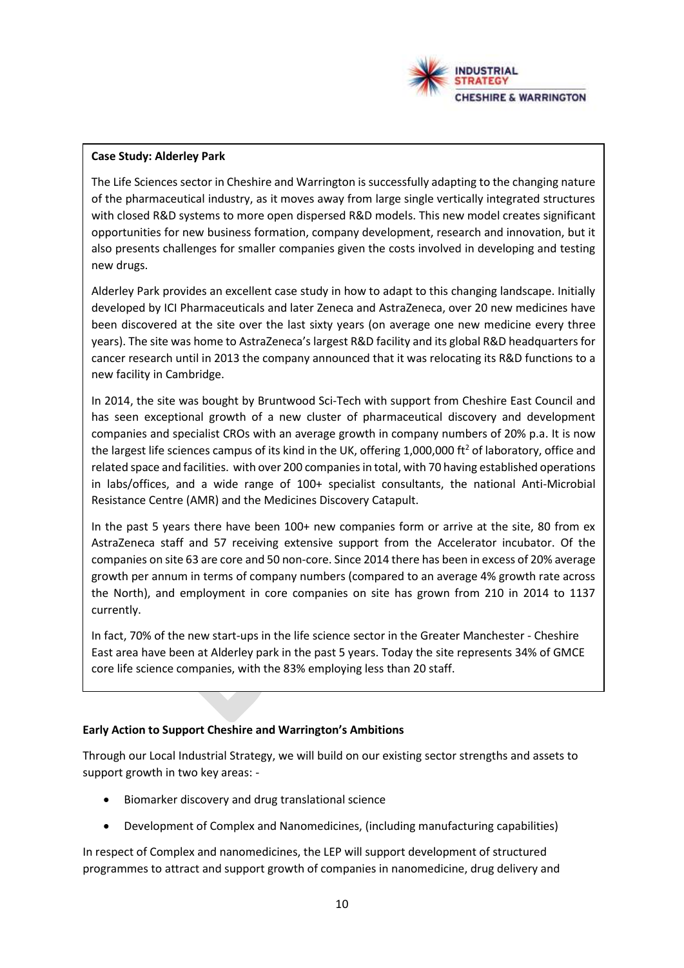

#### **Case Study: Alderley Park**

The Life Sciences sector in Cheshire and Warrington is successfully adapting to the changing nature of the pharmaceutical industry, as it moves away from large single vertically integrated structures with closed R&D systems to more open dispersed R&D models. This new model creates significant opportunities for new business formation, company development, research and innovation, but it also presents challenges for smaller companies given the costs involved in developing and testing new drugs.

Alderley Park provides an excellent case study in how to adapt to this changing landscape. Initially developed by ICI Pharmaceuticals and later Zeneca and AstraZeneca, over 20 new medicines have been discovered at the site over the last sixty years (on average one new medicine every three years). The site was home to AstraZeneca's largest R&D facility and its global R&D headquarters for cancer research until in 2013 the company announced that it was relocating its R&D functions to a new facility in Cambridge.

In 2014, the site was bought by Bruntwood Sci-Tech with support from Cheshire East Council and has seen exceptional growth of a new cluster of pharmaceutical discovery and development companies and specialist CROs with an average growth in company numbers of 20% p.a. It is now the largest life sciences campus of its kind in the UK, offering 1,000,000 ft<sup>2</sup> of laboratory, office and related space and facilities. with over 200 companies in total, with 70 having established operations in labs/offices, and a wide range of 100+ specialist consultants, the national Anti-Microbial Resistance Centre (AMR) and the Medicines Discovery Catapult.

In the past 5 years there have been 100+ new companies form or arrive at the site, 80 from ex AstraZeneca staff and 57 receiving extensive support from the Accelerator incubator. Of the companies on site 63 are core and 50 non-core. Since 2014 there has been in excess of 20% average growth per annum in terms of company numbers (compared to an average 4% growth rate across the North), and employment in core companies on site has grown from 210 in 2014 to 1137 currently.

In fact, 70% of the new start-ups in the life science sector in the Greater Manchester - Cheshire East area have been at Alderley park in the past 5 years. Today the site represents 34% of GMCE core life science companies, with the 83% employing less than 20 staff.

# **Early Action to Support Cheshire and Warrington's Ambitions**

Through our Local Industrial Strategy, we will build on our existing sector strengths and assets to support growth in two key areas: -

- Biomarker discovery and drug translational science
- Development of Complex and Nanomedicines, (including manufacturing capabilities)

In respect of Complex and nanomedicines, the LEP will support development of structured programmes to attract and support growth of companies in nanomedicine, drug delivery and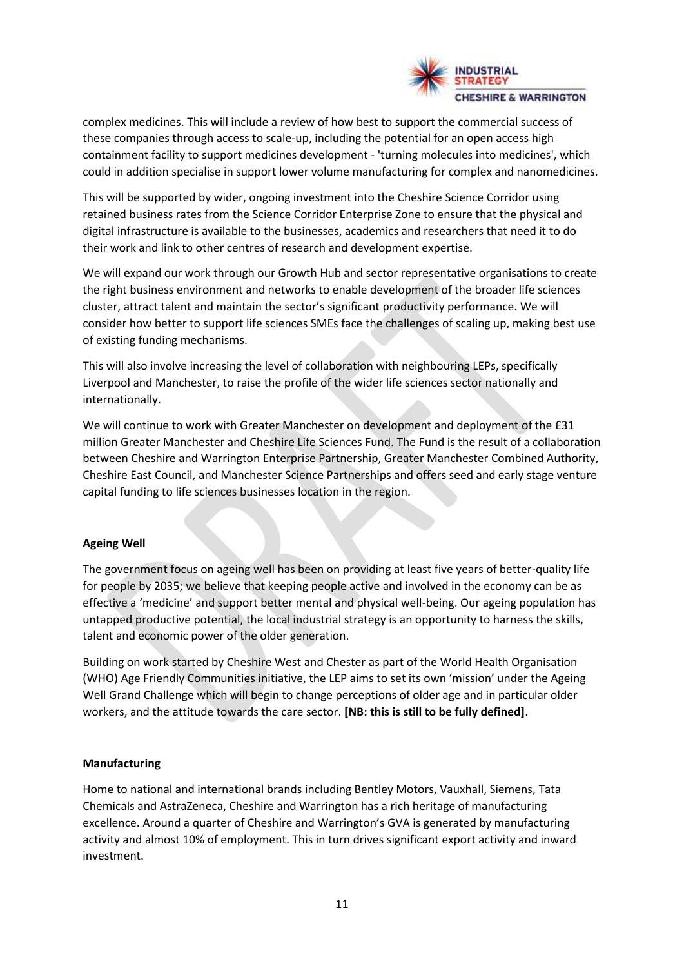

complex medicines. This will include a review of how best to support the commercial success of these companies through access to scale-up, including the potential for an open access high containment facility to support medicines development - 'turning molecules into medicines', which could in addition specialise in support lower volume manufacturing for complex and nanomedicines.

This will be supported by wider, ongoing investment into the Cheshire Science Corridor using retained business rates from the Science Corridor Enterprise Zone to ensure that the physical and digital infrastructure is available to the businesses, academics and researchers that need it to do their work and link to other centres of research and development expertise.

We will expand our work through our Growth Hub and sector representative organisations to create the right business environment and networks to enable development of the broader life sciences cluster, attract talent and maintain the sector's significant productivity performance. We will consider how better to support life sciences SMEs face the challenges of scaling up, making best use of existing funding mechanisms.

This will also involve increasing the level of collaboration with neighbouring LEPs, specifically Liverpool and Manchester, to raise the profile of the wider life sciences sector nationally and internationally.

We will continue to work with Greater Manchester on development and deployment of the £31 million Greater Manchester and Cheshire Life Sciences Fund. The Fund is the result of a collaboration between Cheshire and Warrington Enterprise Partnership, Greater Manchester Combined Authority, Cheshire East Council, and Manchester Science Partnerships and offers seed and early stage venture capital funding to life sciences businesses location in the region.

#### **Ageing Well**

The government focus on ageing well has been on providing at least five years of better-quality life for people by 2035; we believe that keeping people active and involved in the economy can be as effective a 'medicine' and support better mental and physical well-being. Our ageing population has untapped productive potential, the local industrial strategy is an opportunity to harness the skills, talent and economic power of the older generation.

Building on work started by Cheshire West and Chester as part of the World Health Organisation (WHO) Age Friendly Communities initiative, the LEP aims to set its own 'mission' under the Ageing Well Grand Challenge which will begin to change perceptions of older age and in particular older workers, and the attitude towards the care sector. **[NB: this is still to be fully defined]**.

#### **Manufacturing**

Home to national and international brands including Bentley Motors, Vauxhall, Siemens, Tata Chemicals and AstraZeneca, Cheshire and Warrington has a rich heritage of manufacturing excellence. Around a quarter of Cheshire and Warrington's GVA is generated by manufacturing activity and almost 10% of employment. This in turn drives significant export activity and inward investment.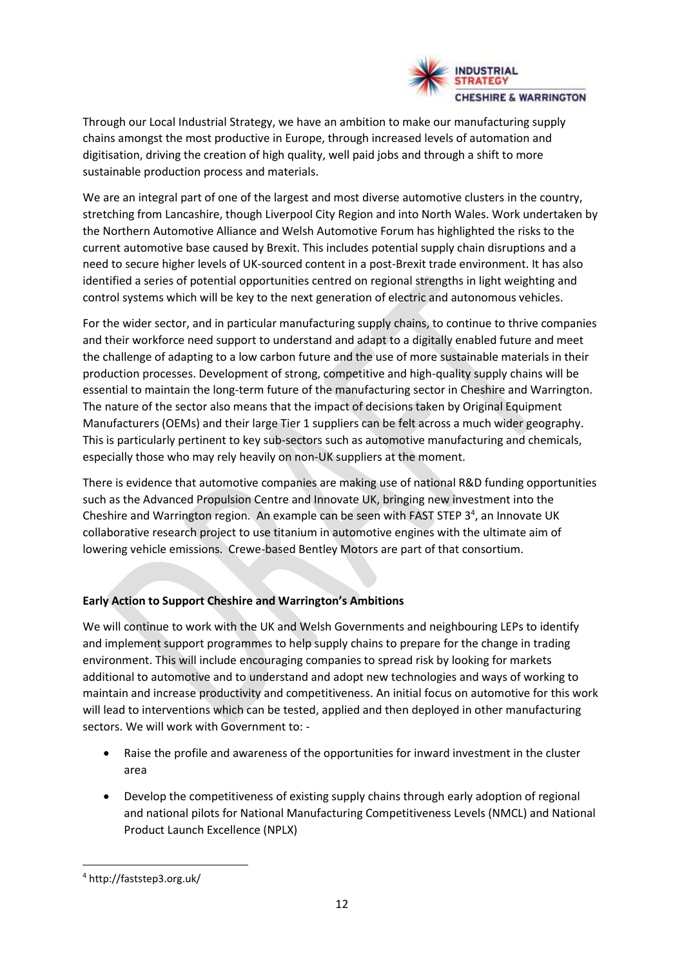

Through our Local Industrial Strategy, we have an ambition to make our manufacturing supply chains amongst the most productive in Europe, through increased levels of automation and digitisation, driving the creation of high quality, well paid jobs and through a shift to more sustainable production process and materials.

We are an integral part of one of the largest and most diverse automotive clusters in the country, stretching from Lancashire, though Liverpool City Region and into North Wales. Work undertaken by the Northern Automotive Alliance and Welsh Automotive Forum has highlighted the risks to the current automotive base caused by Brexit. This includes potential supply chain disruptions and a need to secure higher levels of UK-sourced content in a post-Brexit trade environment. It has also identified a series of potential opportunities centred on regional strengths in light weighting and control systems which will be key to the next generation of electric and autonomous vehicles.

For the wider sector, and in particular manufacturing supply chains, to continue to thrive companies and their workforce need support to understand and adapt to a digitally enabled future and meet the challenge of adapting to a low carbon future and the use of more sustainable materials in their production processes. Development of strong, competitive and high-quality supply chains will be essential to maintain the long-term future of the manufacturing sector in Cheshire and Warrington. The nature of the sector also means that the impact of decisions taken by Original Equipment Manufacturers (OEMs) and their large Tier 1 suppliers can be felt across a much wider geography. This is particularly pertinent to key sub-sectors such as automotive manufacturing and chemicals, especially those who may rely heavily on non-UK suppliers at the moment.

There is evidence that automotive companies are making use of national R&D funding opportunities such as the Advanced Propulsion Centre and Innovate UK, bringing new investment into the Cheshire and Warrington region. An example can be seen with FAST STEP  $3<sup>4</sup>$ , an Innovate UK collaborative research project to use titanium in automotive engines with the ultimate aim of lowering vehicle emissions. Crewe-based Bentley Motors are part of that consortium.

# **Early Action to Support Cheshire and Warrington's Ambitions**

We will continue to work with the UK and Welsh Governments and neighbouring LEPs to identify and implement support programmes to help supply chains to prepare for the change in trading environment. This will include encouraging companies to spread risk by looking for markets additional to automotive and to understand and adopt new technologies and ways of working to maintain and increase productivity and competitiveness. An initial focus on automotive for this work will lead to interventions which can be tested, applied and then deployed in other manufacturing sectors. We will work with Government to: -

- Raise the profile and awareness of the opportunities for inward investment in the cluster area
- Develop the competitiveness of existing supply chains through early adoption of regional and national pilots for National Manufacturing Competitiveness Levels (NMCL) and National Product Launch Excellence (NPLX)

<sup>4</sup> http://faststep3.org.uk/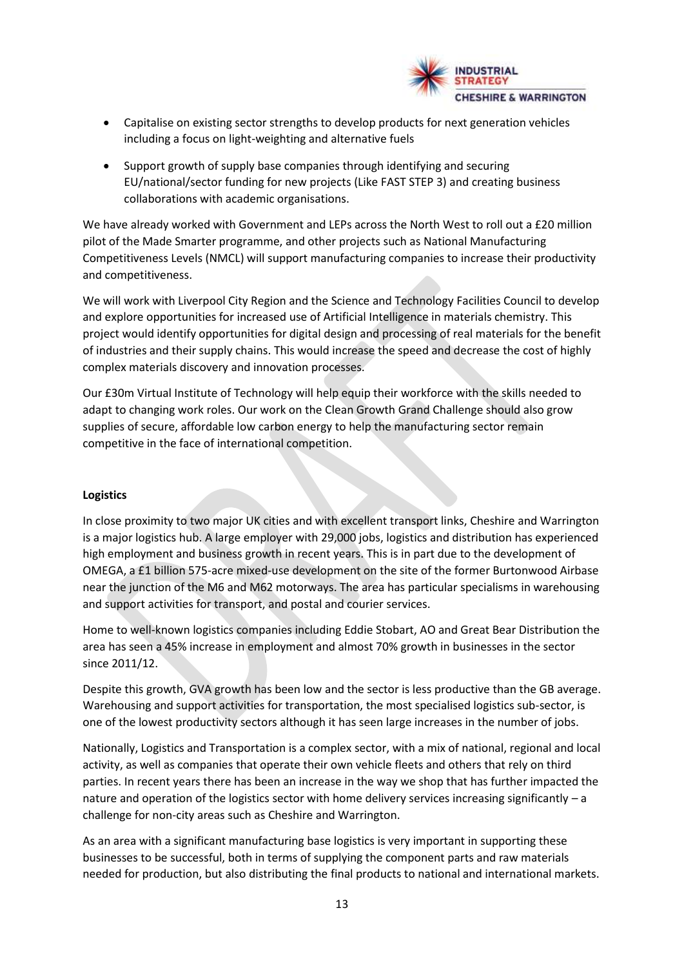

- Capitalise on existing sector strengths to develop products for next generation vehicles including a focus on light-weighting and alternative fuels
- Support growth of supply base companies through identifying and securing EU/national/sector funding for new projects (Like FAST STEP 3) and creating business collaborations with academic organisations.

We have already worked with Government and LEPs across the North West to roll out a £20 million pilot of the Made Smarter programme, and other projects such as National Manufacturing Competitiveness Levels (NMCL) will support manufacturing companies to increase their productivity and competitiveness.

We will work with Liverpool City Region and the Science and Technology Facilities Council to develop and explore opportunities for increased use of Artificial Intelligence in materials chemistry. This project would identify opportunities for digital design and processing of real materials for the benefit of industries and their supply chains. This would increase the speed and decrease the cost of highly complex materials discovery and innovation processes.

Our £30m Virtual Institute of Technology will help equip their workforce with the skills needed to adapt to changing work roles. Our work on the Clean Growth Grand Challenge should also grow supplies of secure, affordable low carbon energy to help the manufacturing sector remain competitive in the face of international competition.

#### **Logistics**

In close proximity to two major UK cities and with excellent transport links, Cheshire and Warrington is a major logistics hub. A large employer with 29,000 jobs, logistics and distribution has experienced high employment and business growth in recent years. This is in part due to the development of OMEGA, a £1 billion 575-acre mixed-use development on the site of the former Burtonwood Airbase near the junction of the M6 and M62 motorways. The area has particular specialisms in warehousing and support activities for transport, and postal and courier services.

Home to well-known logistics companies including Eddie Stobart, AO and Great Bear Distribution the area has seen a 45% increase in employment and almost 70% growth in businesses in the sector since 2011/12.

Despite this growth, GVA growth has been low and the sector is less productive than the GB average. Warehousing and support activities for transportation, the most specialised logistics sub-sector, is one of the lowest productivity sectors although it has seen large increases in the number of jobs.

Nationally, Logistics and Transportation is a complex sector, with a mix of national, regional and local activity, as well as companies that operate their own vehicle fleets and others that rely on third parties. In recent years there has been an increase in the way we shop that has further impacted the nature and operation of the logistics sector with home delivery services increasing significantly – a challenge for non-city areas such as Cheshire and Warrington.

As an area with a significant manufacturing base logistics is very important in supporting these businesses to be successful, both in terms of supplying the component parts and raw materials needed for production, but also distributing the final products to national and international markets.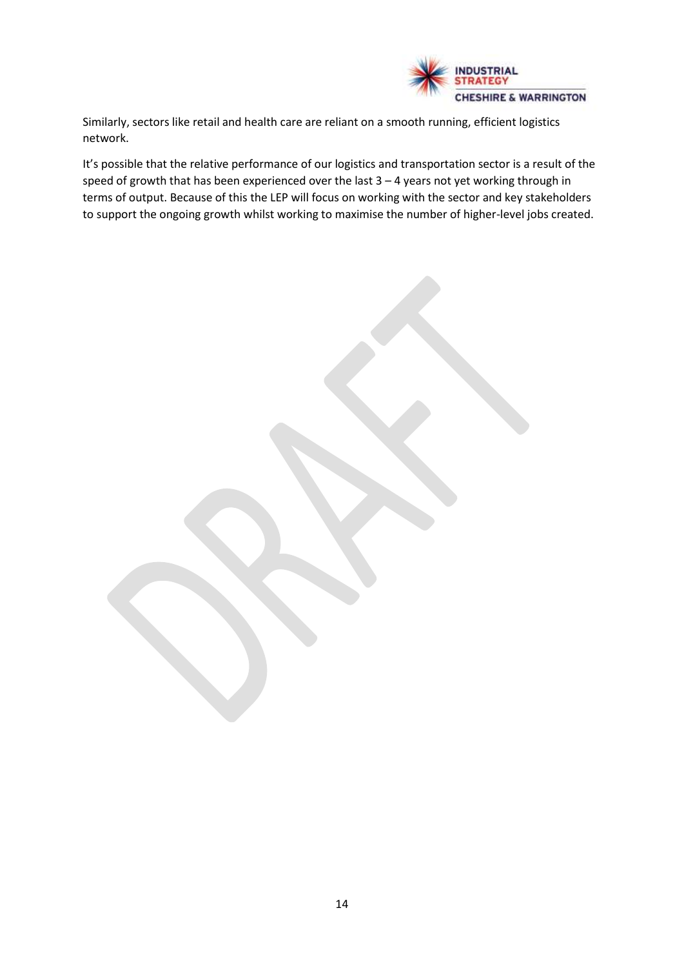

Similarly, sectors like retail and health care are reliant on a smooth running, efficient logistics network.

It's possible that the relative performance of our logistics and transportation sector is a result of the speed of growth that has been experienced over the last 3 – 4 years not yet working through in terms of output. Because of this the LEP will focus on working with the sector and key stakeholders to support the ongoing growth whilst working to maximise the number of higher-level jobs created.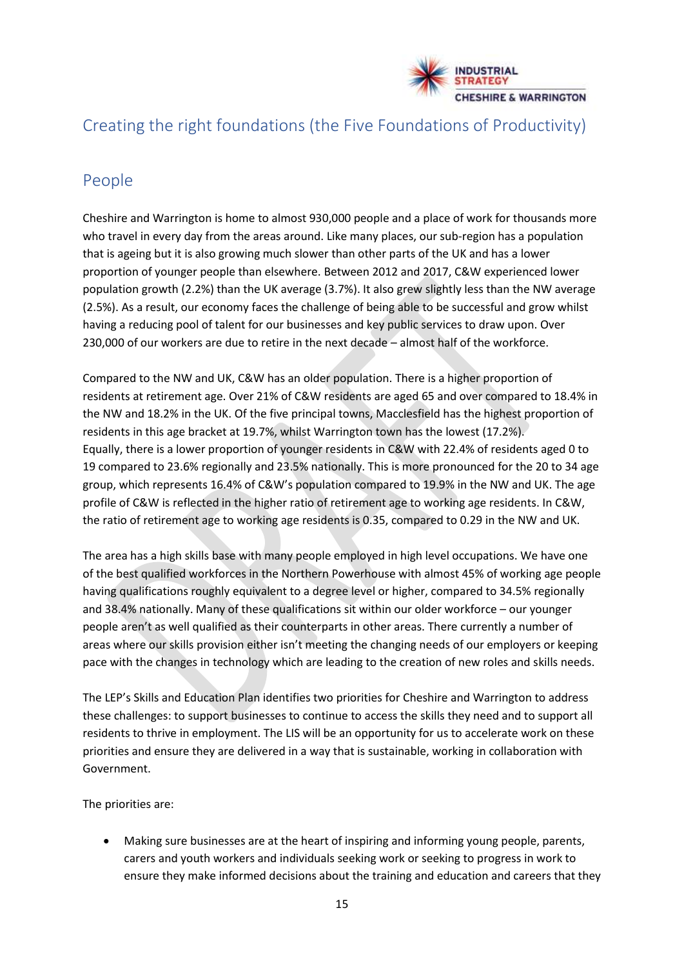

# Creating the right foundations (the Five Foundations of Productivity)

# People

Cheshire and Warrington is home to almost 930,000 people and a place of work for thousands more who travel in every day from the areas around. Like many places, our sub-region has a population that is ageing but it is also growing much slower than other parts of the UK and has a lower proportion of younger people than elsewhere. Between 2012 and 2017, C&W experienced lower population growth (2.2%) than the UK average (3.7%). It also grew slightly less than the NW average (2.5%). As a result, our economy faces the challenge of being able to be successful and grow whilst having a reducing pool of talent for our businesses and key public services to draw upon. Over 230,000 of our workers are due to retire in the next decade – almost half of the workforce.

Compared to the NW and UK, C&W has an older population. There is a higher proportion of residents at retirement age. Over 21% of C&W residents are aged 65 and over compared to 18.4% in the NW and 18.2% in the UK. Of the five principal towns, Macclesfield has the highest proportion of residents in this age bracket at 19.7%, whilst Warrington town has the lowest (17.2%). Equally, there is a lower proportion of younger residents in C&W with 22.4% of residents aged 0 to 19 compared to 23.6% regionally and 23.5% nationally. This is more pronounced for the 20 to 34 age group, which represents 16.4% of C&W's population compared to 19.9% in the NW and UK. The age profile of C&W is reflected in the higher ratio of retirement age to working age residents. In C&W, the ratio of retirement age to working age residents is 0.35, compared to 0.29 in the NW and UK.

The area has a high skills base with many people employed in high level occupations. We have one of the best qualified workforces in the Northern Powerhouse with almost 45% of working age people having qualifications roughly equivalent to a degree level or higher, compared to 34.5% regionally and 38.4% nationally. Many of these qualifications sit within our older workforce – our younger people aren't as well qualified as their counterparts in other areas. There currently a number of areas where our skills provision either isn't meeting the changing needs of our employers or keeping pace with the changes in technology which are leading to the creation of new roles and skills needs.

The LEP's Skills and Education Plan identifies two priorities for Cheshire and Warrington to address these challenges: to support businesses to continue to access the skills they need and to support all residents to thrive in employment. The LIS will be an opportunity for us to accelerate work on these priorities and ensure they are delivered in a way that is sustainable, working in collaboration with Government.

The priorities are:

• Making sure businesses are at the heart of inspiring and informing young people, parents, carers and youth workers and individuals seeking work or seeking to progress in work to ensure they make informed decisions about the training and education and careers that they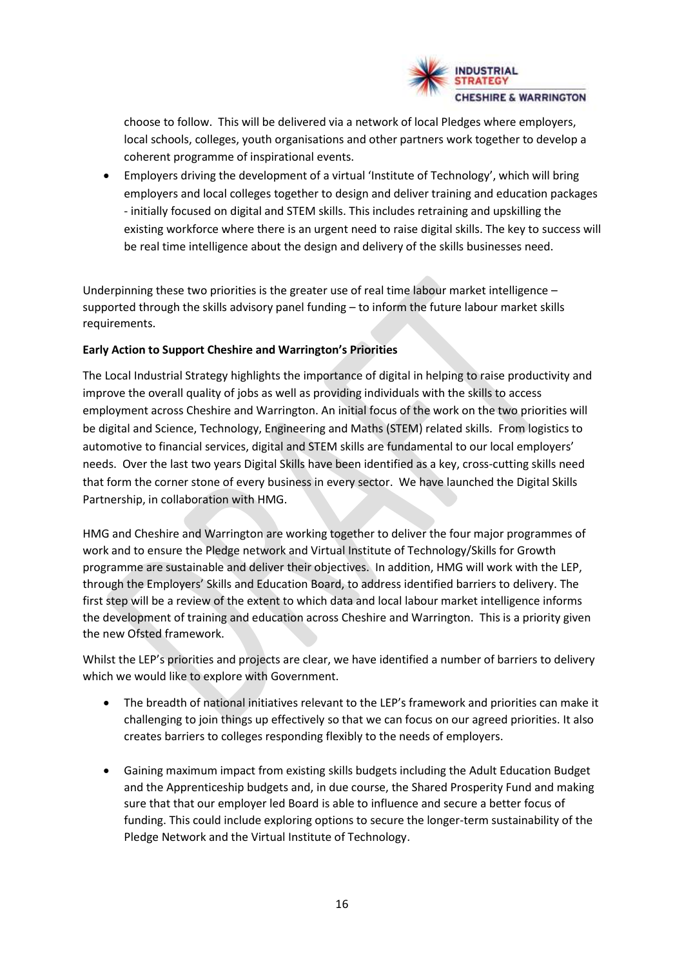

choose to follow. This will be delivered via a network of local Pledges where employers, local schools, colleges, youth organisations and other partners work together to develop a coherent programme of inspirational events.

• Employers driving the development of a virtual 'Institute of Technology', which will bring employers and local colleges together to design and deliver training and education packages - initially focused on digital and STEM skills. This includes retraining and upskilling the existing workforce where there is an urgent need to raise digital skills. The key to success will be real time intelligence about the design and delivery of the skills businesses need.

Underpinning these two priorities is the greater use of real time labour market intelligence – supported through the skills advisory panel funding – to inform the future labour market skills requirements.

# **Early Action to Support Cheshire and Warrington's Priorities**

The Local Industrial Strategy highlights the importance of digital in helping to raise productivity and improve the overall quality of jobs as well as providing individuals with the skills to access employment across Cheshire and Warrington. An initial focus of the work on the two priorities will be digital and Science, Technology, Engineering and Maths (STEM) related skills. From logistics to automotive to financial services, digital and STEM skills are fundamental to our local employers' needs. Over the last two years Digital Skills have been identified as a key, cross-cutting skills need that form the corner stone of every business in every sector. We have launched the Digital Skills Partnership, in collaboration with HMG.

HMG and Cheshire and Warrington are working together to deliver the four major programmes of work and to ensure the Pledge network and Virtual Institute of Technology/Skills for Growth programme are sustainable and deliver their objectives. In addition, HMG will work with the LEP, through the Employers' Skills and Education Board, to address identified barriers to delivery. The first step will be a review of the extent to which data and local labour market intelligence informs the development of training and education across Cheshire and Warrington. This is a priority given the new Ofsted framework.

Whilst the LEP's priorities and projects are clear, we have identified a number of barriers to delivery which we would like to explore with Government.

- The breadth of national initiatives relevant to the LEP's framework and priorities can make it challenging to join things up effectively so that we can focus on our agreed priorities. It also creates barriers to colleges responding flexibly to the needs of employers.
- Gaining maximum impact from existing skills budgets including the Adult Education Budget and the Apprenticeship budgets and, in due course, the Shared Prosperity Fund and making sure that that our employer led Board is able to influence and secure a better focus of funding. This could include exploring options to secure the longer-term sustainability of the Pledge Network and the Virtual Institute of Technology.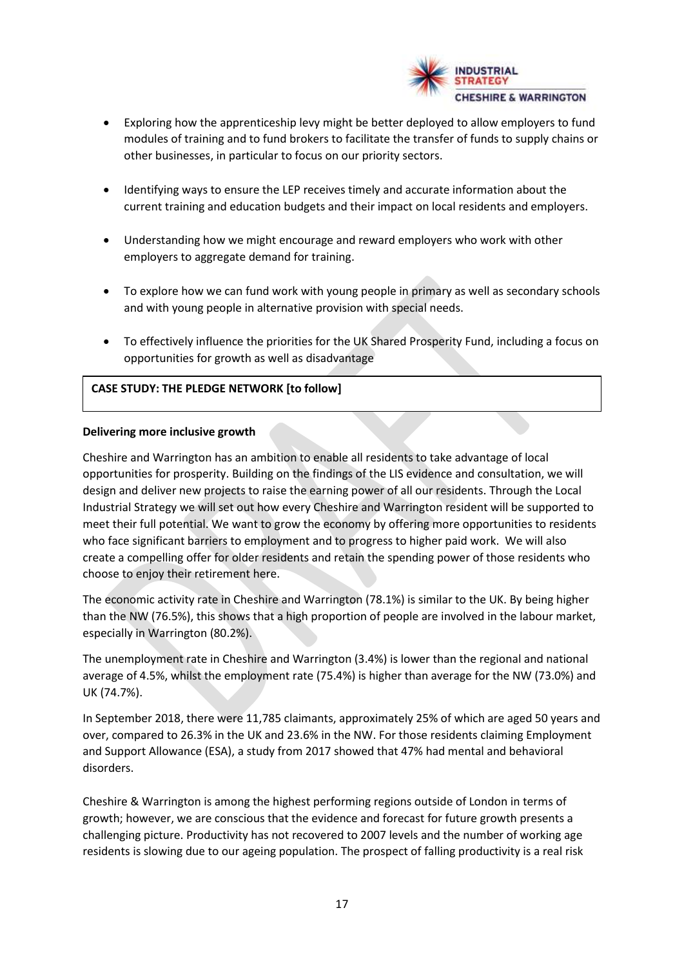

- Exploring how the apprenticeship levy might be better deployed to allow employers to fund modules of training and to fund brokers to facilitate the transfer of funds to supply chains or other businesses, in particular to focus on our priority sectors.
- Identifying ways to ensure the LEP receives timely and accurate information about the current training and education budgets and their impact on local residents and employers.
- Understanding how we might encourage and reward employers who work with other employers to aggregate demand for training.
- To explore how we can fund work with young people in primary as well as secondary schools and with young people in alternative provision with special needs.
- To effectively influence the priorities for the UK Shared Prosperity Fund, including a focus on opportunities for growth as well as disadvantage

#### **CASE STUDY: THE PLEDGE NETWORK [to follow]**

#### **Delivering more inclusive growth**

Cheshire and Warrington has an ambition to enable all residents to take advantage of local opportunities for prosperity. Building on the findings of the LIS evidence and consultation, we will design and deliver new projects to raise the earning power of all our residents. Through the Local Industrial Strategy we will set out how every Cheshire and Warrington resident will be supported to meet their full potential. We want to grow the economy by offering more opportunities to residents who face significant barriers to employment and to progress to higher paid work. We will also create a compelling offer for older residents and retain the spending power of those residents who choose to enjoy their retirement here.

The economic activity rate in Cheshire and Warrington (78.1%) is similar to the UK. By being higher than the NW (76.5%), this shows that a high proportion of people are involved in the labour market, especially in Warrington (80.2%).

The unemployment rate in Cheshire and Warrington (3.4%) is lower than the regional and national average of 4.5%, whilst the employment rate (75.4%) is higher than average for the NW (73.0%) and UK (74.7%).

In September 2018, there were 11,785 claimants, approximately 25% of which are aged 50 years and over, compared to 26.3% in the UK and 23.6% in the NW. For those residents claiming Employment and Support Allowance (ESA), a study from 2017 showed that 47% had mental and behavioral disorders.

Cheshire & Warrington is among the highest performing regions outside of London in terms of growth; however, we are conscious that the evidence and forecast for future growth presents a challenging picture. Productivity has not recovered to 2007 levels and the number of working age residents is slowing due to our ageing population. The prospect of falling productivity is a real risk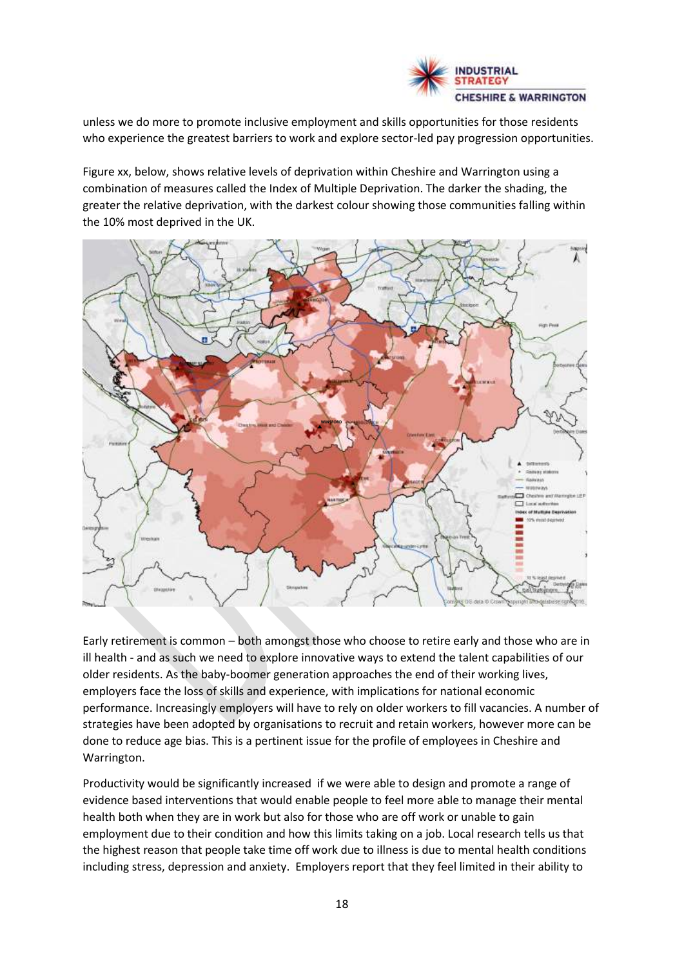

unless we do more to promote inclusive employment and skills opportunities for those residents who experience the greatest barriers to work and explore sector-led pay progression opportunities.

Figure xx, below, shows relative levels of deprivation within Cheshire and Warrington using a combination of measures called the Index of Multiple Deprivation. The darker the shading, the greater the relative deprivation, with the darkest colour showing those communities falling within the 10% most deprived in the UK.



Early retirement is common – both amongst those who choose to retire early and those who are in ill health - and as such we need to explore innovative ways to extend the talent capabilities of our older residents. As the baby-boomer generation approaches the end of their working lives, employers face the loss of skills and experience, with implications for national economic performance. Increasingly employers will have to rely on older workers to fill vacancies. A number of strategies have been adopted by organisations to recruit and retain workers, however more can be done to reduce age bias. This is a pertinent issue for the profile of employees in Cheshire and Warrington.

Productivity would be significantly increased if we were able to design and promote a range of evidence based interventions that would enable people to feel more able to manage their mental health both when they are in work but also for those who are off work or unable to gain employment due to their condition and how this limits taking on a job. Local research tells us that the highest reason that people take time off work due to illness is due to mental health conditions including stress, depression and anxiety. Employers report that they feel limited in their ability to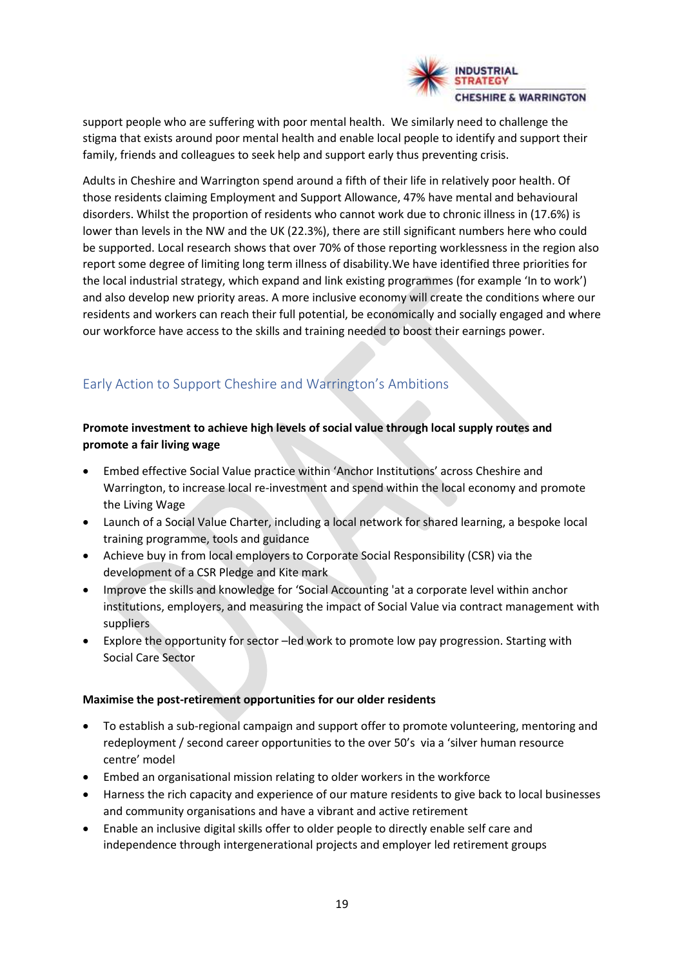

support people who are suffering with poor mental health. We similarly need to challenge the stigma that exists around poor mental health and enable local people to identify and support their family, friends and colleagues to seek help and support early thus preventing crisis.

Adults in Cheshire and Warrington spend around a fifth of their life in relatively poor health. Of those residents claiming Employment and Support Allowance, 47% have mental and behavioural disorders. Whilst the proportion of residents who cannot work due to chronic illness in (17.6%) is lower than levels in the NW and the UK (22.3%), there are still significant numbers here who could be supported. Local research shows that over 70% of those reporting worklessness in the region also report some degree of limiting long term illness of disability.We have identified three priorities for the local industrial strategy, which expand and link existing programmes (for example 'In to work') and also develop new priority areas. A more inclusive economy will create the conditions where our residents and workers can reach their full potential, be economically and socially engaged and where our workforce have access to the skills and training needed to boost their earnings power.

# Early Action to Support Cheshire and Warrington's Ambitions

# **Promote investment to achieve high levels of social value through local supply routes and promote a fair living wage**

- Embed effective Social Value practice within 'Anchor Institutions' across Cheshire and Warrington, to increase local re-investment and spend within the local economy and promote the Living Wage
- Launch of a Social Value Charter, including a local network for shared learning, a bespoke local training programme, tools and guidance
- Achieve buy in from local employers to Corporate Social Responsibility (CSR) via the development of a CSR Pledge and Kite mark
- Improve the skills and knowledge for 'Social Accounting 'at a corporate level within anchor institutions, employers, and measuring the impact of Social Value via contract management with suppliers
- Explore the opportunity for sector –led work to promote low pay progression. Starting with Social Care Sector

# **Maximise the post-retirement opportunities for our older residents**

- To establish a sub-regional campaign and support offer to promote volunteering, mentoring and redeployment / second career opportunities to the over 50's via a 'silver human resource centre' model
- Embed an organisational mission relating to older workers in the workforce
- Harness the rich capacity and experience of our mature residents to give back to local businesses and community organisations and have a vibrant and active retirement
- Enable an inclusive digital skills offer to older people to directly enable self care and independence through intergenerational projects and employer led retirement groups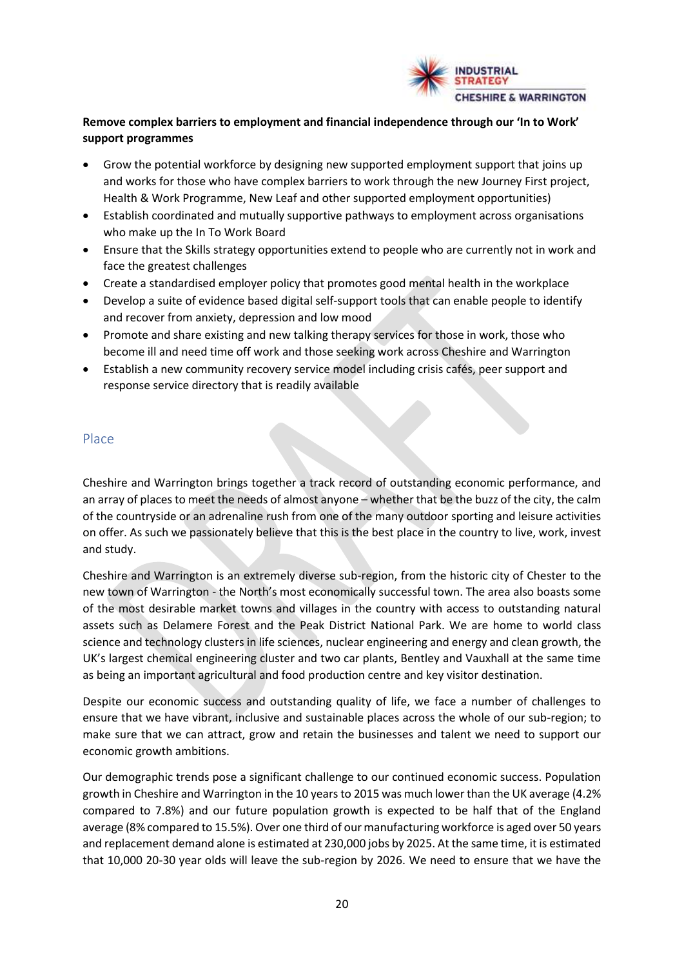

# **Remove complex barriers to employment and financial independence through our 'In to Work' support programmes**

- Grow the potential workforce by designing new supported employment support that joins up and works for those who have complex barriers to work through the new Journey First project, Health & Work Programme, New Leaf and other supported employment opportunities)
- Establish coordinated and mutually supportive pathways to employment across organisations who make up the In To Work Board
- Ensure that the Skills strategy opportunities extend to people who are currently not in work and face the greatest challenges
- Create a standardised employer policy that promotes good mental health in the workplace
- Develop a suite of evidence based digital self-support tools that can enable people to identify and recover from anxiety, depression and low mood
- Promote and share existing and new talking therapy services for those in work, those who become ill and need time off work and those seeking work across Cheshire and Warrington
- Establish a new community recovery service model including crisis cafés, peer support and response service directory that is readily available

#### Place

Cheshire and Warrington brings together a track record of outstanding economic performance, and an array of places to meet the needs of almost anyone – whether that be the buzz of the city, the calm of the countryside or an adrenaline rush from one of the many outdoor sporting and leisure activities on offer. As such we passionately believe that this is the best place in the country to live, work, invest and study.

Cheshire and Warrington is an extremely diverse sub-region, from the historic city of Chester to the new town of Warrington - the North's most economically successful town. The area also boasts some of the most desirable market towns and villages in the country with access to outstanding natural assets such as Delamere Forest and the Peak District National Park. We are home to world class science and technology clusters in life sciences, nuclear engineering and energy and clean growth, the UK's largest chemical engineering cluster and two car plants, Bentley and Vauxhall at the same time as being an important agricultural and food production centre and key visitor destination.

Despite our economic success and outstanding quality of life, we face a number of challenges to ensure that we have vibrant, inclusive and sustainable places across the whole of our sub-region; to make sure that we can attract, grow and retain the businesses and talent we need to support our economic growth ambitions.

Our demographic trends pose a significant challenge to our continued economic success. Population growth in Cheshire and Warrington in the 10 years to 2015 was much lower than the UK average (4.2% compared to 7.8%) and our future population growth is expected to be half that of the England average (8% compared to 15.5%). Over one third of our manufacturing workforce is aged over 50 years and replacement demand alone is estimated at 230,000 jobs by 2025. At the same time, it is estimated that 10,000 20-30 year olds will leave the sub-region by 2026. We need to ensure that we have the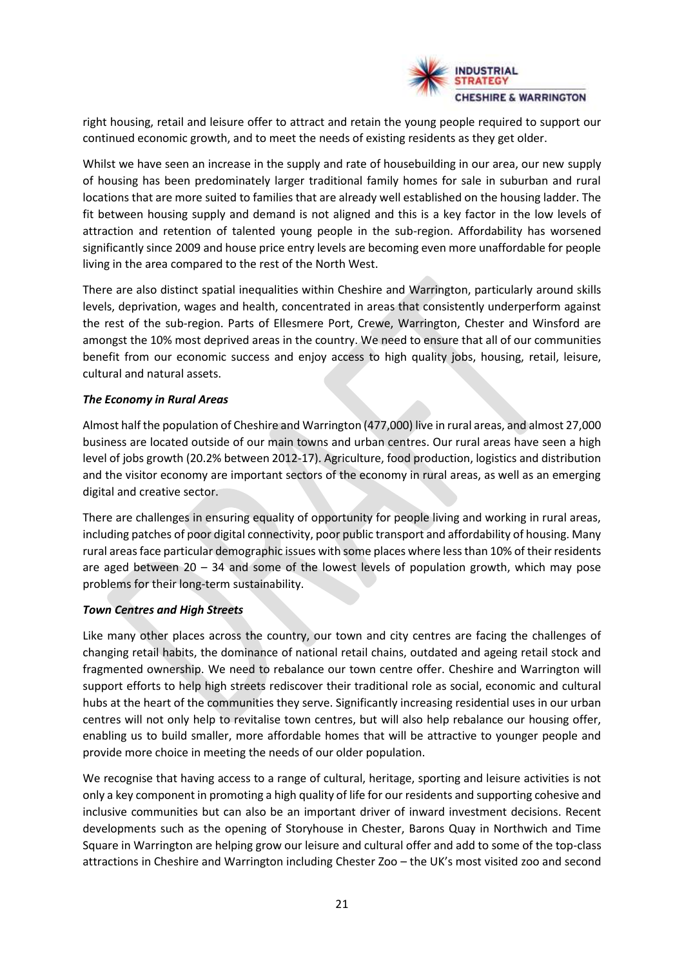

right housing, retail and leisure offer to attract and retain the young people required to support our continued economic growth, and to meet the needs of existing residents as they get older.

Whilst we have seen an increase in the supply and rate of housebuilding in our area, our new supply of housing has been predominately larger traditional family homes for sale in suburban and rural locations that are more suited to families that are already well established on the housing ladder. The fit between housing supply and demand is not aligned and this is a key factor in the low levels of attraction and retention of talented young people in the sub-region. Affordability has worsened significantly since 2009 and house price entry levels are becoming even more unaffordable for people living in the area compared to the rest of the North West.

There are also distinct spatial inequalities within Cheshire and Warrington, particularly around skills levels, deprivation, wages and health, concentrated in areas that consistently underperform against the rest of the sub-region. Parts of Ellesmere Port, Crewe, Warrington, Chester and Winsford are amongst the 10% most deprived areas in the country. We need to ensure that all of our communities benefit from our economic success and enjoy access to high quality jobs, housing, retail, leisure, cultural and natural assets.

#### *The Economy in Rural Areas*

Almost half the population of Cheshire and Warrington (477,000) live in rural areas, and almost 27,000 business are located outside of our main towns and urban centres. Our rural areas have seen a high level of jobs growth (20.2% between 2012-17). Agriculture, food production, logistics and distribution and the visitor economy are important sectors of the economy in rural areas, as well as an emerging digital and creative sector.

There are challenges in ensuring equality of opportunity for people living and working in rural areas, including patches of poor digital connectivity, poor public transport and affordability of housing. Many rural areas face particular demographic issues with some places where less than 10% of their residents are aged between 20 – 34 and some of the lowest levels of population growth, which may pose problems for their long-term sustainability.

#### *Town Centres and High Streets*

Like many other places across the country, our town and city centres are facing the challenges of changing retail habits, the dominance of national retail chains, outdated and ageing retail stock and fragmented ownership. We need to rebalance our town centre offer. Cheshire and Warrington will support efforts to help high streets rediscover their traditional role as social, economic and cultural hubs at the heart of the communities they serve. Significantly increasing residential uses in our urban centres will not only help to revitalise town centres, but will also help rebalance our housing offer, enabling us to build smaller, more affordable homes that will be attractive to younger people and provide more choice in meeting the needs of our older population.

We recognise that having access to a range of cultural, heritage, sporting and leisure activities is not only a key component in promoting a high quality of life for our residents and supporting cohesive and inclusive communities but can also be an important driver of inward investment decisions. Recent developments such as the opening of Storyhouse in Chester, Barons Quay in Northwich and Time Square in Warrington are helping grow our leisure and cultural offer and add to some of the top-class attractions in Cheshire and Warrington including Chester Zoo – the UK's most visited zoo and second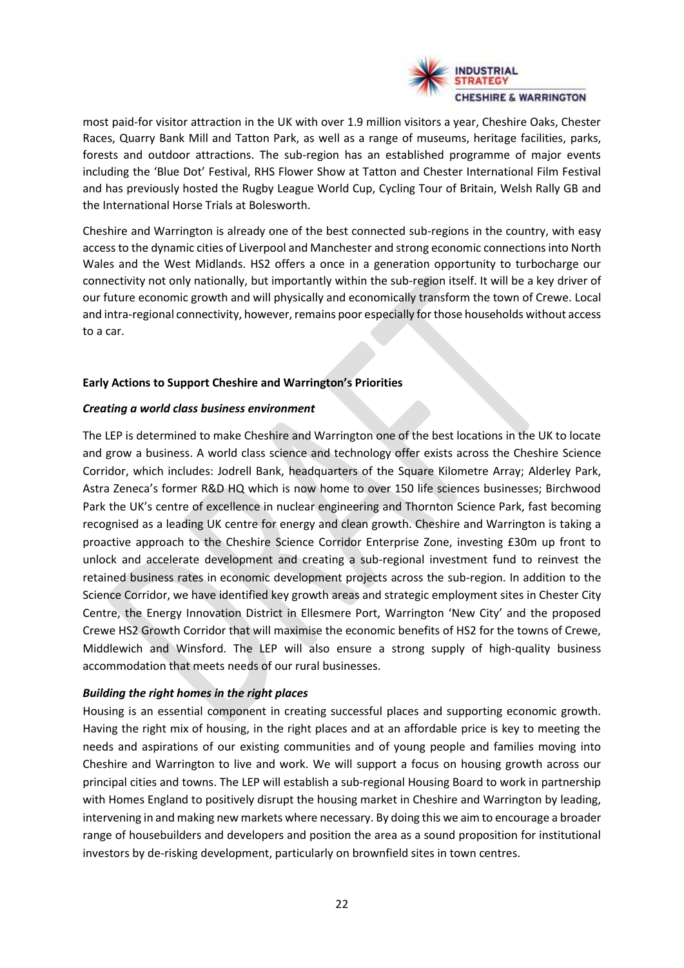

most paid-for visitor attraction in the UK with over 1.9 million visitors a year, Cheshire Oaks, Chester Races, Quarry Bank Mill and Tatton Park, as well as a range of museums, heritage facilities, parks, forests and outdoor attractions. The sub-region has an established programme of major events including the 'Blue Dot' Festival, RHS Flower Show at Tatton and Chester International Film Festival and has previously hosted the Rugby League World Cup, Cycling Tour of Britain, Welsh Rally GB and the International Horse Trials at Bolesworth.

Cheshire and Warrington is already one of the best connected sub-regions in the country, with easy access to the dynamic cities of Liverpool and Manchester and strong economic connections into North Wales and the West Midlands. HS2 offers a once in a generation opportunity to turbocharge our connectivity not only nationally, but importantly within the sub-region itself. It will be a key driver of our future economic growth and will physically and economically transform the town of Crewe. Local and intra-regional connectivity, however, remains poor especially for those households without access to a car.

#### **Early Actions to Support Cheshire and Warrington's Priorities**

#### *Creating a world class business environment*

The LEP is determined to make Cheshire and Warrington one of the best locations in the UK to locate and grow a business. A world class science and technology offer exists across the Cheshire Science Corridor, which includes: Jodrell Bank, headquarters of the Square Kilometre Array; Alderley Park, Astra Zeneca's former R&D HQ which is now home to over 150 life sciences businesses; Birchwood Park the UK's centre of excellence in nuclear engineering and Thornton Science Park, fast becoming recognised as a leading UK centre for energy and clean growth. Cheshire and Warrington is taking a proactive approach to the Cheshire Science Corridor Enterprise Zone, investing £30m up front to unlock and accelerate development and creating a sub-regional investment fund to reinvest the retained business rates in economic development projects across the sub-region. In addition to the Science Corridor, we have identified key growth areas and strategic employment sites in Chester City Centre, the Energy Innovation District in Ellesmere Port, Warrington 'New City' and the proposed Crewe HS2 Growth Corridor that will maximise the economic benefits of HS2 for the towns of Crewe, Middlewich and Winsford. The LEP will also ensure a strong supply of high-quality business accommodation that meets needs of our rural businesses.

# *Building the right homes in the right places*

Housing is an essential component in creating successful places and supporting economic growth. Having the right mix of housing, in the right places and at an affordable price is key to meeting the needs and aspirations of our existing communities and of young people and families moving into Cheshire and Warrington to live and work. We will support a focus on housing growth across our principal cities and towns. The LEP will establish a sub-regional Housing Board to work in partnership with Homes England to positively disrupt the housing market in Cheshire and Warrington by leading, intervening in and making new markets where necessary. By doing this we aim to encourage a broader range of housebuilders and developers and position the area as a sound proposition for institutional investors by de-risking development, particularly on brownfield sites in town centres.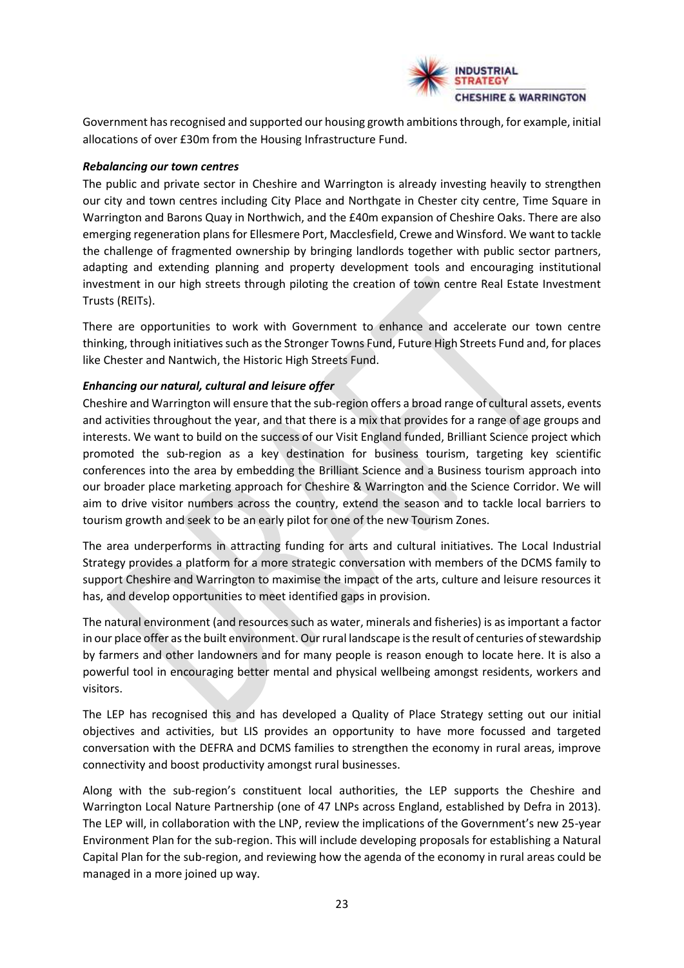

Government has recognised and supported our housing growth ambitions through, for example, initial allocations of over £30m from the Housing Infrastructure Fund.

#### *Rebalancing our town centres*

The public and private sector in Cheshire and Warrington is already investing heavily to strengthen our city and town centres including City Place and Northgate in Chester city centre, Time Square in Warrington and Barons Quay in Northwich, and the £40m expansion of Cheshire Oaks. There are also emerging regeneration plans for Ellesmere Port, Macclesfield, Crewe and Winsford. We want to tackle the challenge of fragmented ownership by bringing landlords together with public sector partners, adapting and extending planning and property development tools and encouraging institutional investment in our high streets through piloting the creation of town centre Real Estate Investment Trusts (REITs).

There are opportunities to work with Government to enhance and accelerate our town centre thinking, through initiatives such as the Stronger Towns Fund, Future High Streets Fund and, for places like Chester and Nantwich, the Historic High Streets Fund.

# *Enhancing our natural, cultural and leisure offer*

Cheshire and Warrington will ensure that the sub-region offers a broad range of cultural assets, events and activities throughout the year, and that there is a mix that provides for a range of age groups and interests. We want to build on the success of our Visit England funded, Brilliant Science project which promoted the sub-region as a key destination for business tourism, targeting key scientific conferences into the area by embedding the Brilliant Science and a Business tourism approach into our broader place marketing approach for Cheshire & Warrington and the Science Corridor. We will aim to drive visitor numbers across the country, extend the season and to tackle local barriers to tourism growth and seek to be an early pilot for one of the new Tourism Zones.

The area underperforms in attracting funding for arts and cultural initiatives. The Local Industrial Strategy provides a platform for a more strategic conversation with members of the DCMS family to support Cheshire and Warrington to maximise the impact of the arts, culture and leisure resources it has, and develop opportunities to meet identified gaps in provision.

The natural environment (and resources such as water, minerals and fisheries) is as important a factor in our place offer as the built environment. Our rural landscape is the result of centuries of stewardship by farmers and other landowners and for many people is reason enough to locate here. It is also a powerful tool in encouraging better mental and physical wellbeing amongst residents, workers and visitors.

The LEP has recognised this and has developed a Quality of Place Strategy setting out our initial objectives and activities, but LIS provides an opportunity to have more focussed and targeted conversation with the DEFRA and DCMS families to strengthen the economy in rural areas, improve connectivity and boost productivity amongst rural businesses.

Along with the sub-region's constituent local authorities, the LEP supports the Cheshire and Warrington Local Nature Partnership (one of 47 LNPs across England, established by Defra in 2013). The LEP will, in collaboration with the LNP, review the implications of the Government's new 25-year Environment Plan for the sub-region. This will include developing proposals for establishing a Natural Capital Plan for the sub-region, and reviewing how the agenda of the economy in rural areas could be managed in a more joined up way.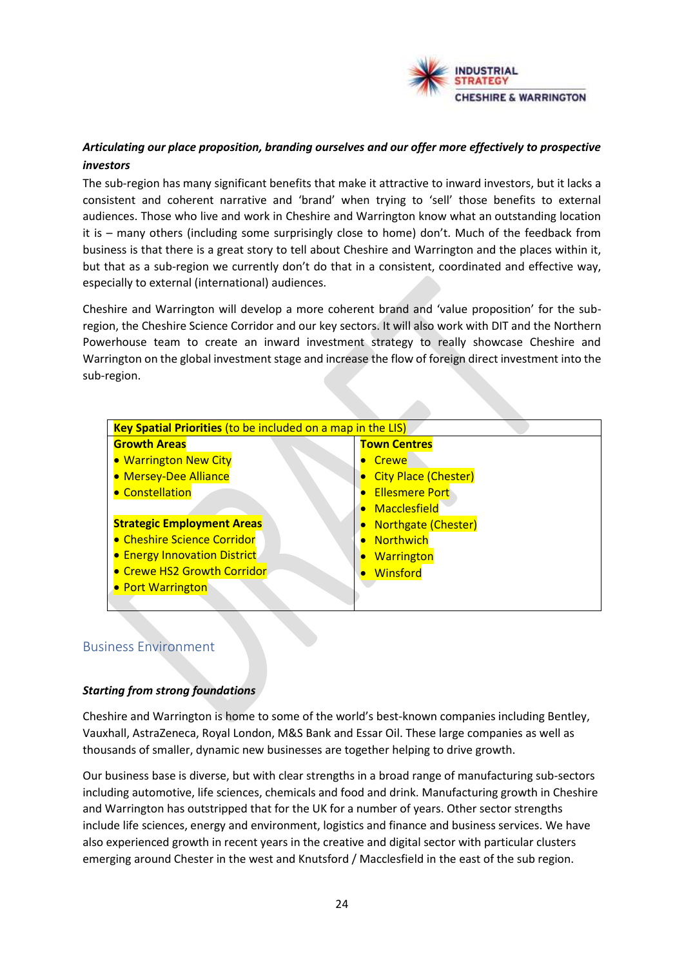

# *Articulating our place proposition, branding ourselves and our offer more effectively to prospective investors*

The sub-region has many significant benefits that make it attractive to inward investors, but it lacks a consistent and coherent narrative and 'brand' when trying to 'sell' those benefits to external audiences. Those who live and work in Cheshire and Warrington know what an outstanding location it is – many others (including some surprisingly close to home) don't. Much of the feedback from business is that there is a great story to tell about Cheshire and Warrington and the places within it, but that as a sub-region we currently don't do that in a consistent, coordinated and effective way, especially to external (international) audiences.

Cheshire and Warrington will develop a more coherent brand and 'value proposition' for the subregion, the Cheshire Science Corridor and our key sectors. It will also work with DIT and the Northern Powerhouse team to create an inward investment strategy to really showcase Cheshire and Warrington on the global investment stage and increase the flow of foreign direct investment into the sub-region.

| <b>Growth Areas</b>                 | <b>Town Centres</b>         |
|-------------------------------------|-----------------------------|
| • Warrington New City               | <b>Crewe</b>                |
| • Mersey-Dee Alliance               | <b>City Place (Chester)</b> |
| • Constellation                     | <b>Ellesmere Port</b>       |
|                                     | Macclesfield                |
| <b>Strategic Employment Areas</b>   | <b>Northgate (Chester)</b>  |
| • Cheshire Science Corridor         | <b>Northwich</b>            |
| <b>• Energy Innovation District</b> | <b>Warrington</b>           |
| • Crewe HS2 Growth Corridor         | Winsford                    |
| • Port Warrington                   |                             |

# Business Environment

# *Starting from strong foundations*

Cheshire and Warrington is home to some of the world's best-known companies including Bentley, Vauxhall, AstraZeneca, Royal London, M&S Bank and Essar Oil. These large companies as well as thousands of smaller, dynamic new businesses are together helping to drive growth.

Our business base is diverse, but with clear strengths in a broad range of manufacturing sub-sectors including automotive, life sciences, chemicals and food and drink. Manufacturing growth in Cheshire and Warrington has outstripped that for the UK for a number of years. Other sector strengths include life sciences, energy and environment, logistics and finance and business services. We have also experienced growth in recent years in the creative and digital sector with particular clusters emerging around Chester in the west and Knutsford / Macclesfield in the east of the sub region.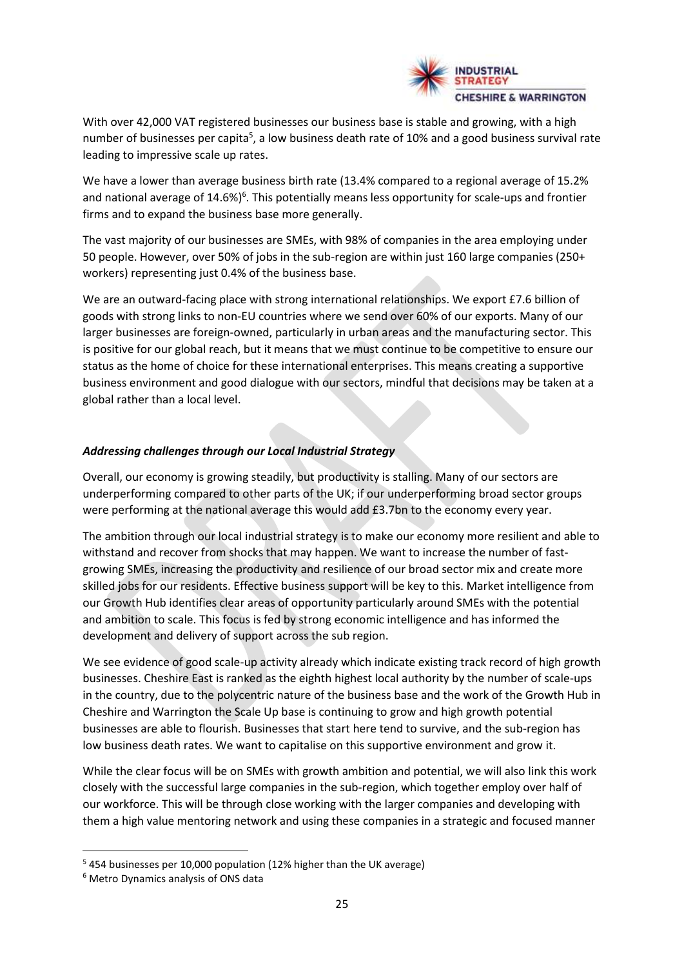

With over 42,000 VAT registered businesses our business base is stable and growing, with a high number of businesses per capita<sup>5</sup>, a low business death rate of 10% and a good business survival rate leading to impressive scale up rates.

We have a lower than average business birth rate (13.4% compared to a regional average of 15.2% and national average of 14.6%)<sup>6</sup>. This potentially means less opportunity for scale-ups and frontier firms and to expand the business base more generally.

The vast majority of our businesses are SMEs, with 98% of companies in the area employing under 50 people. However, over 50% of jobs in the sub-region are within just 160 large companies (250+ workers) representing just 0.4% of the business base.

We are an outward-facing place with strong international relationships. We export £7.6 billion of goods with strong links to non-EU countries where we send over 60% of our exports. Many of our larger businesses are foreign-owned, particularly in urban areas and the manufacturing sector. This is positive for our global reach, but it means that we must continue to be competitive to ensure our status as the home of choice for these international enterprises. This means creating a supportive business environment and good dialogue with our sectors, mindful that decisions may be taken at a global rather than a local level.

#### *Addressing challenges through our Local Industrial Strategy*

Overall, our economy is growing steadily, but productivity is stalling. Many of our sectors are underperforming compared to other parts of the UK; if our underperforming broad sector groups were performing at the national average this would add £3.7bn to the economy every year.

The ambition through our local industrial strategy is to make our economy more resilient and able to withstand and recover from shocks that may happen. We want to increase the number of fastgrowing SMEs, increasing the productivity and resilience of our broad sector mix and create more skilled jobs for our residents. Effective business support will be key to this. Market intelligence from our Growth Hub identifies clear areas of opportunity particularly around SMEs with the potential and ambition to scale. This focus is fed by strong economic intelligence and has informed the development and delivery of support across the sub region.

We see evidence of good scale-up activity already which indicate existing track record of high growth businesses. Cheshire East is ranked as the eighth highest local authority by the number of scale-ups in the country, due to the polycentric nature of the business base and the work of the Growth Hub in Cheshire and Warrington the Scale Up base is continuing to grow and high growth potential businesses are able to flourish. Businesses that start here tend to survive, and the sub-region has low business death rates. We want to capitalise on this supportive environment and grow it.

While the clear focus will be on SMEs with growth ambition and potential, we will also link this work closely with the successful large companies in the sub-region, which together employ over half of our workforce. This will be through close working with the larger companies and developing with them a high value mentoring network and using these companies in a strategic and focused manner

<sup>5</sup> 454 businesses per 10,000 population (12% higher than the UK average)

<sup>6</sup> Metro Dynamics analysis of ONS data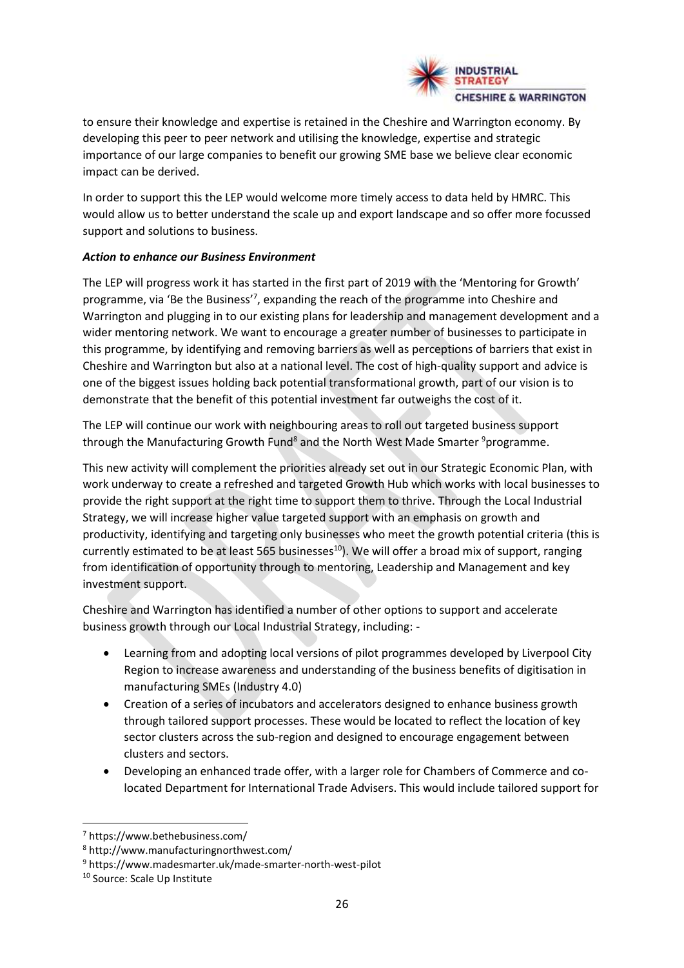

to ensure their knowledge and expertise is retained in the Cheshire and Warrington economy. By developing this peer to peer network and utilising the knowledge, expertise and strategic importance of our large companies to benefit our growing SME base we believe clear economic impact can be derived.

In order to support this the LEP would welcome more timely access to data held by HMRC. This would allow us to better understand the scale up and export landscape and so offer more focussed support and solutions to business.

#### *Action to enhance our Business Environment*

The LEP will progress work it has started in the first part of 2019 with the 'Mentoring for Growth' programme, via 'Be the Business'<sup>7</sup>, expanding the reach of the programme into Cheshire and Warrington and plugging in to our existing plans for leadership and management development and a wider mentoring network. We want to encourage a greater number of businesses to participate in this programme, by identifying and removing barriers as well as perceptions of barriers that exist in Cheshire and Warrington but also at a national level. The cost of high-quality support and advice is one of the biggest issues holding back potential transformational growth, part of our vision is to demonstrate that the benefit of this potential investment far outweighs the cost of it.

The LEP will continue our work with neighbouring areas to roll out targeted business support through the Manufacturing Growth Fund<sup>8</sup> and the North West Made Smarter  $9$  programme.

This new activity will complement the priorities already set out in our Strategic Economic Plan, with work underway to create a refreshed and targeted Growth Hub which works with local businesses to provide the right support at the right time to support them to thrive. Through the Local Industrial Strategy, we will increase higher value targeted support with an emphasis on growth and productivity, identifying and targeting only businesses who meet the growth potential criteria (this is currently estimated to be at least 565 businesses<sup>10</sup>). We will offer a broad mix of support, ranging from identification of opportunity through to mentoring, Leadership and Management and key investment support.

Cheshire and Warrington has identified a number of other options to support and accelerate business growth through our Local Industrial Strategy, including: -

- Learning from and adopting local versions of pilot programmes developed by Liverpool City Region to increase awareness and understanding of the business benefits of digitisation in manufacturing SMEs (Industry 4.0)
- Creation of a series of incubators and accelerators designed to enhance business growth through tailored support processes. These would be located to reflect the location of key sector clusters across the sub-region and designed to encourage engagement between clusters and sectors.
- Developing an enhanced trade offer, with a larger role for Chambers of Commerce and colocated Department for International Trade Advisers. This would include tailored support for

<sup>7</sup> https://www.bethebusiness.com/

<sup>8</sup> http://www.manufacturingnorthwest.com/

<sup>9</sup> https://www.madesmarter.uk/made-smarter-north-west-pilot

<sup>10</sup> Source: Scale Up Institute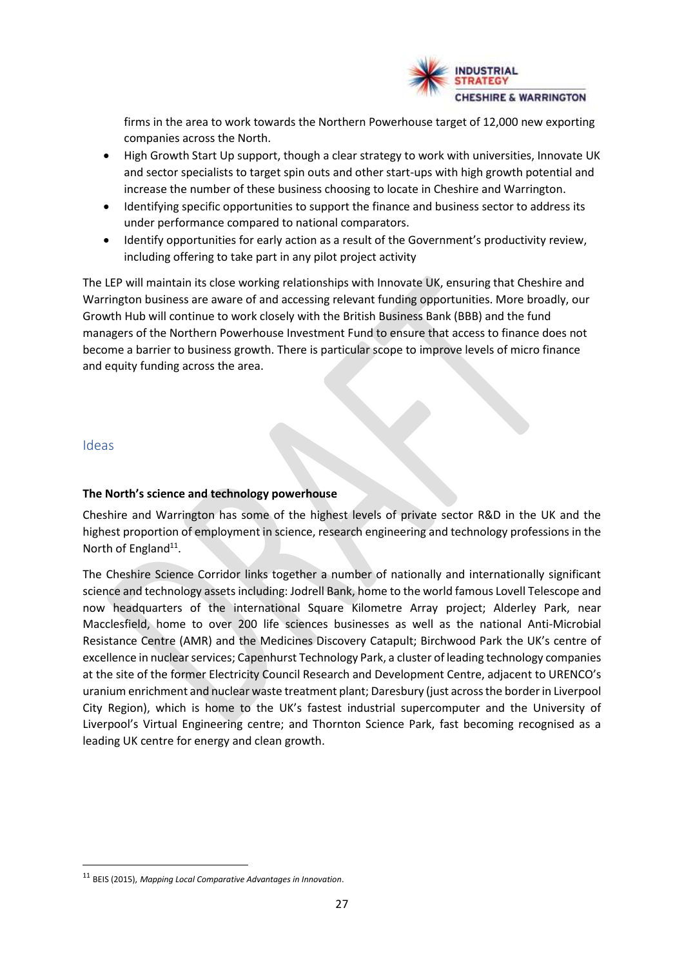

firms in the area to work towards the Northern Powerhouse target of 12,000 new exporting companies across the North.

- High Growth Start Up support, though a clear strategy to work with universities, Innovate UK and sector specialists to target spin outs and other start-ups with high growth potential and increase the number of these business choosing to locate in Cheshire and Warrington.
- Identifying specific opportunities to support the finance and business sector to address its under performance compared to national comparators.
- Identify opportunities for early action as a result of the Government's productivity review, including offering to take part in any pilot project activity

The LEP will maintain its close working relationships with Innovate UK, ensuring that Cheshire and Warrington business are aware of and accessing relevant funding opportunities. More broadly, our Growth Hub will continue to work closely with the British Business Bank (BBB) and the fund managers of the Northern Powerhouse Investment Fund to ensure that access to finance does not become a barrier to business growth. There is particular scope to improve levels of micro finance and equity funding across the area.

#### Ideas

#### **The North's science and technology powerhouse**

Cheshire and Warrington has some of the highest levels of private sector R&D in the UK and the highest proportion of employment in science, research engineering and technology professions in the North of England<sup>11</sup>.

The Cheshire Science Corridor links together a number of nationally and internationally significant science and technology assets including: Jodrell Bank, home to the world famous Lovell Telescope and now headquarters of the international Square Kilometre Array project; Alderley Park, near Macclesfield, home to over 200 life sciences businesses as well as the national Anti-Microbial Resistance Centre (AMR) and the Medicines Discovery Catapult; Birchwood Park the UK's centre of excellence in nuclear services; Capenhurst Technology Park, a cluster of leading technology companies at the site of the former Electricity Council Research and Development Centre, adjacent to URENCO's uranium enrichment and nuclear waste treatment plant; Daresbury (just across the border in Liverpool City Region), which is home to the UK's fastest industrial supercomputer and the University of Liverpool's Virtual Engineering centre; and Thornton Science Park, fast becoming recognised as a leading UK centre for energy and clean growth.

<sup>11</sup> BEIS (2015), *Mapping Local Comparative Advantages in Innovation*.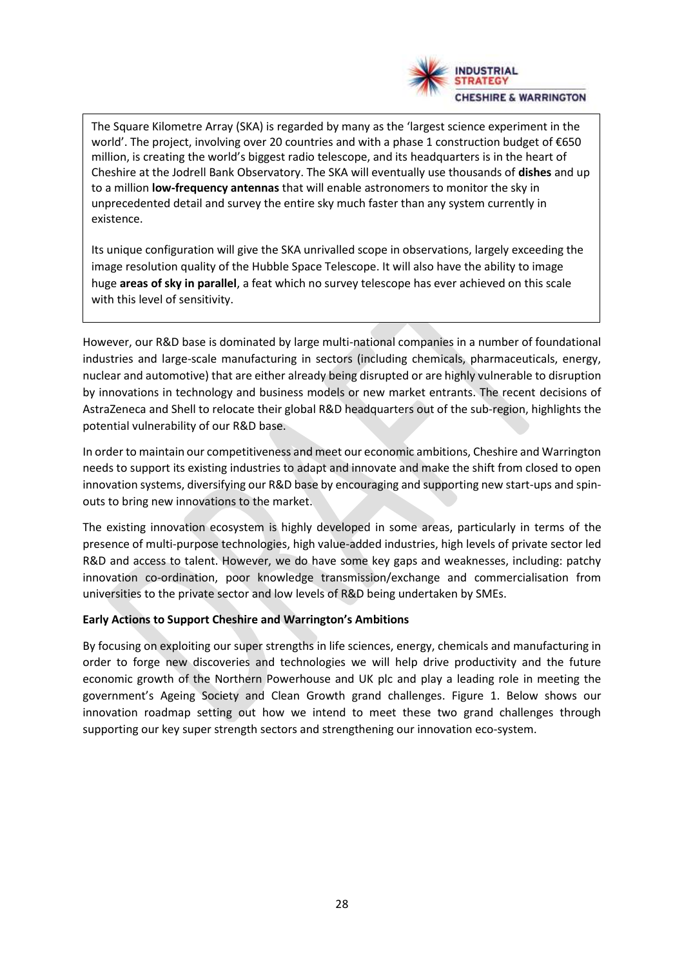

The Square Kilometre Array (SKA) is regarded by many as the 'largest science experiment in the world'. The project, involving over 20 countries and with a phase 1 construction budget of €650 million, is creating the world's biggest radio telescope, and its headquarters is in the heart of Cheshire at the Jodrell Bank Observatory. The SKA will eventually use thousands of **dishes** and up to a million **low-frequency antennas** that will enable astronomers to monitor the sky in unprecedented detail and survey the entire sky much faster than any system currently in existence.

Its unique configuration will give the SKA unrivalled scope in observations, largely exceeding the image resolution quality of the Hubble Space Telescope. It will also have the ability to image huge **areas of sky in parallel**, a feat which no survey telescope has ever achieved on this scale with this level of sensitivity.

However, our R&D base is dominated by large multi-national companies in a number of foundational industries and large-scale manufacturing in sectors (including chemicals, pharmaceuticals, energy, nuclear and automotive) that are either already being disrupted or are highly vulnerable to disruption by innovations in technology and business models or new market entrants. The recent decisions of AstraZeneca and Shell to relocate their global R&D headquarters out of the sub-region, highlights the potential vulnerability of our R&D base.

In order to maintain our competitiveness and meet our economic ambitions, Cheshire and Warrington needs to support its existing industries to adapt and innovate and make the shift from closed to open innovation systems, diversifying our R&D base by encouraging and supporting new start-ups and spinouts to bring new innovations to the market.

The existing innovation ecosystem is highly developed in some areas, particularly in terms of the presence of multi-purpose technologies, high value-added industries, high levels of private sector led R&D and access to talent. However, we do have some key gaps and weaknesses, including: patchy innovation co-ordination, poor knowledge transmission/exchange and commercialisation from universities to the private sector and low levels of R&D being undertaken by SMEs.

#### **Early Actions to Support Cheshire and Warrington's Ambitions**

By focusing on exploiting our super strengths in life sciences, energy, chemicals and manufacturing in order to forge new discoveries and technologies we will help drive productivity and the future economic growth of the Northern Powerhouse and UK plc and play a leading role in meeting the government's Ageing Society and Clean Growth grand challenges. Figure 1. Below shows our innovation roadmap setting out how we intend to meet these two grand challenges through supporting our key super strength sectors and strengthening our innovation eco-system.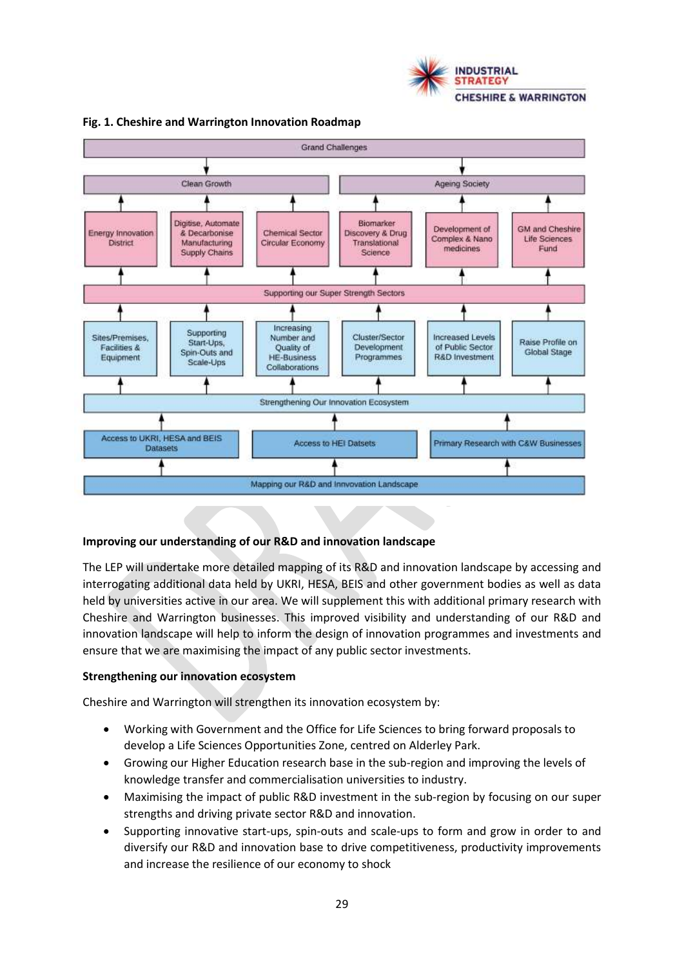



#### **Fig. 1. Cheshire and Warrington Innovation Roadmap**

#### **Improving our understanding of our R&D and innovation landscape**

The LEP will undertake more detailed mapping of its R&D and innovation landscape by accessing and interrogating additional data held by UKRI, HESA, BEIS and other government bodies as well as data held by universities active in our area. We will supplement this with additional primary research with Cheshire and Warrington businesses. This improved visibility and understanding of our R&D and innovation landscape will help to inform the design of innovation programmes and investments and ensure that we are maximising the impact of any public sector investments.

#### **Strengthening our innovation ecosystem**

Cheshire and Warrington will strengthen its innovation ecosystem by:

- Working with Government and the Office for Life Sciences to bring forward proposals to develop a Life Sciences Opportunities Zone, centred on Alderley Park.
- Growing our Higher Education research base in the sub-region and improving the levels of knowledge transfer and commercialisation universities to industry.
- Maximising the impact of public R&D investment in the sub-region by focusing on our super strengths and driving private sector R&D and innovation.
- Supporting innovative start-ups, spin-outs and scale-ups to form and grow in order to and diversify our R&D and innovation base to drive competitiveness, productivity improvements and increase the resilience of our economy to shock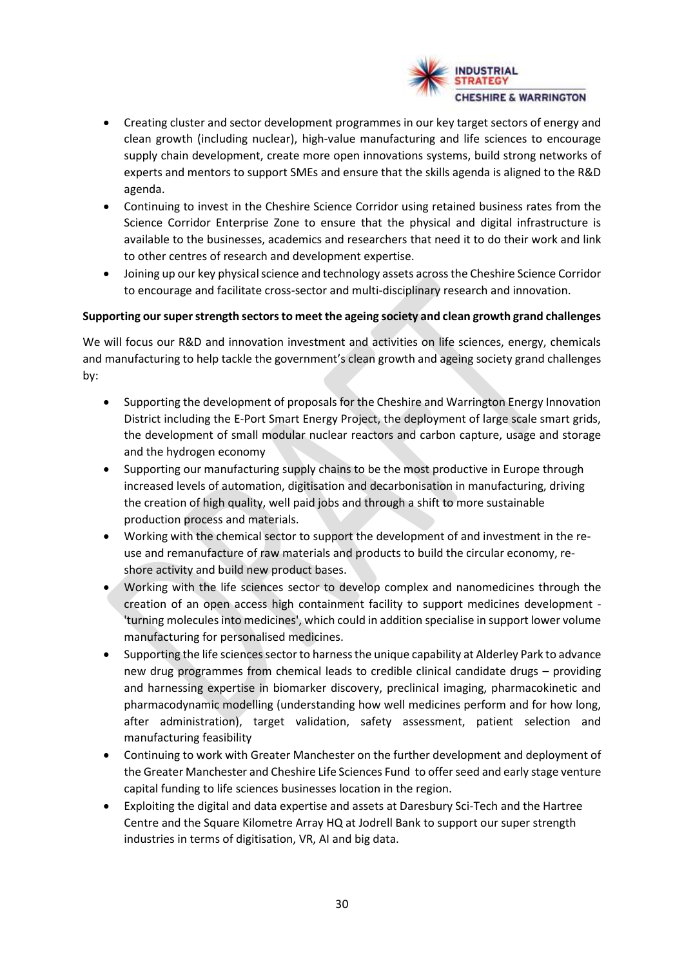

- Creating cluster and sector development programmes in our key target sectors of energy and clean growth (including nuclear), high-value manufacturing and life sciences to encourage supply chain development, create more open innovations systems, build strong networks of experts and mentors to support SMEs and ensure that the skills agenda is aligned to the R&D agenda.
- Continuing to invest in the Cheshire Science Corridor using retained business rates from the Science Corridor Enterprise Zone to ensure that the physical and digital infrastructure is available to the businesses, academics and researchers that need it to do their work and link to other centres of research and development expertise.
- Joining up our key physical science and technology assets across the Cheshire Science Corridor to encourage and facilitate cross-sector and multi-disciplinary research and innovation.

#### **Supporting our super strength sectors to meet the ageing society and clean growth grand challenges**

We will focus our R&D and innovation investment and activities on life sciences, energy, chemicals and manufacturing to help tackle the government's clean growth and ageing society grand challenges by:

- Supporting the development of proposals for the Cheshire and Warrington Energy Innovation District including the E-Port Smart Energy Project, the deployment of large scale smart grids, the development of small modular nuclear reactors and carbon capture, usage and storage and the hydrogen economy
- Supporting our manufacturing supply chains to be the most productive in Europe through increased levels of automation, digitisation and decarbonisation in manufacturing, driving the creation of high quality, well paid jobs and through a shift to more sustainable production process and materials.
- Working with the chemical sector to support the development of and investment in the reuse and remanufacture of raw materials and products to build the circular economy, reshore activity and build new product bases.
- Working with the life sciences sector to develop complex and nanomedicines through the creation of an open access high containment facility to support medicines development - 'turning molecules into medicines', which could in addition specialise in support lower volume manufacturing for personalised medicines.
- Supporting the life sciences sector to harness the unique capability at Alderley Park to advance new drug programmes from chemical leads to credible clinical candidate drugs – providing and harnessing expertise in biomarker discovery, preclinical imaging, pharmacokinetic and pharmacodynamic modelling (understanding how well medicines perform and for how long, after administration), target validation, safety assessment, patient selection and manufacturing feasibility
- Continuing to work with Greater Manchester on the further development and deployment of the Greater Manchester and Cheshire Life Sciences Fund to offer seed and early stage venture capital funding to life sciences businesses location in the region.
- Exploiting the digital and data expertise and assets at Daresbury Sci-Tech and the Hartree Centre and the Square Kilometre Array HQ at Jodrell Bank to support our super strength industries in terms of digitisation, VR, AI and big data.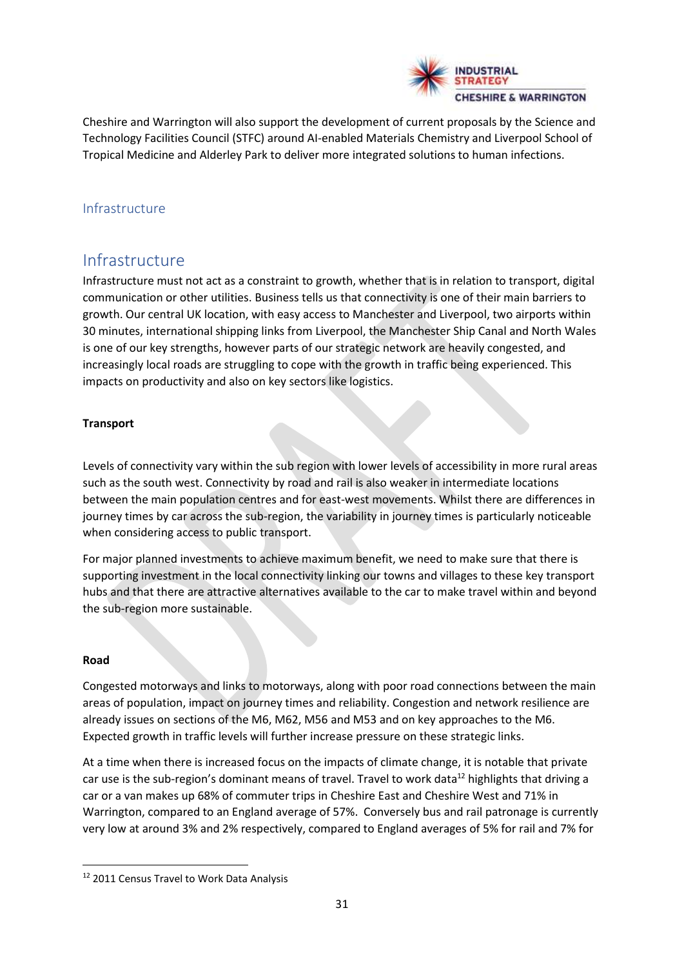

Cheshire and Warrington will also support the development of current proposals by the Science and Technology Facilities Council (STFC) around AI-enabled Materials Chemistry and Liverpool School of Tropical Medicine and Alderley Park to deliver more integrated solutions to human infections.

# Infrastructure

# Infrastructure

Infrastructure must not act as a constraint to growth, whether that is in relation to transport, digital communication or other utilities. Business tells us that connectivity is one of their main barriers to growth. Our central UK location, with easy access to Manchester and Liverpool, two airports within 30 minutes, international shipping links from Liverpool, the Manchester Ship Canal and North Wales is one of our key strengths, however parts of our strategic network are heavily congested, and increasingly local roads are struggling to cope with the growth in traffic being experienced. This impacts on productivity and also on key sectors like logistics.

# **Transport**

Levels of connectivity vary within the sub region with lower levels of accessibility in more rural areas such as the south west. Connectivity by road and rail is also weaker in intermediate locations between the main population centres and for east-west movements. Whilst there are differences in journey times by car across the sub-region, the variability in journey times is particularly noticeable when considering access to public transport.

For major planned investments to achieve maximum benefit, we need to make sure that there is supporting investment in the local connectivity linking our towns and villages to these key transport hubs and that there are attractive alternatives available to the car to make travel within and beyond the sub-region more sustainable.

# **Road**

Congested motorways and links to motorways, along with poor road connections between the main areas of population, impact on journey times and reliability. Congestion and network resilience are already issues on sections of the M6, M62, M56 and M53 and on key approaches to the M6. Expected growth in traffic levels will further increase pressure on these strategic links.

At a time when there is increased focus on the impacts of climate change, it is notable that private car use is the sub-region's dominant means of travel. Travel to work data<sup>12</sup> highlights that driving a car or a van makes up 68% of commuter trips in Cheshire East and Cheshire West and 71% in Warrington, compared to an England average of 57%. Conversely bus and rail patronage is currently very low at around 3% and 2% respectively, compared to England averages of 5% for rail and 7% for

<sup>&</sup>lt;sup>12</sup> 2011 Census Travel to Work Data Analysis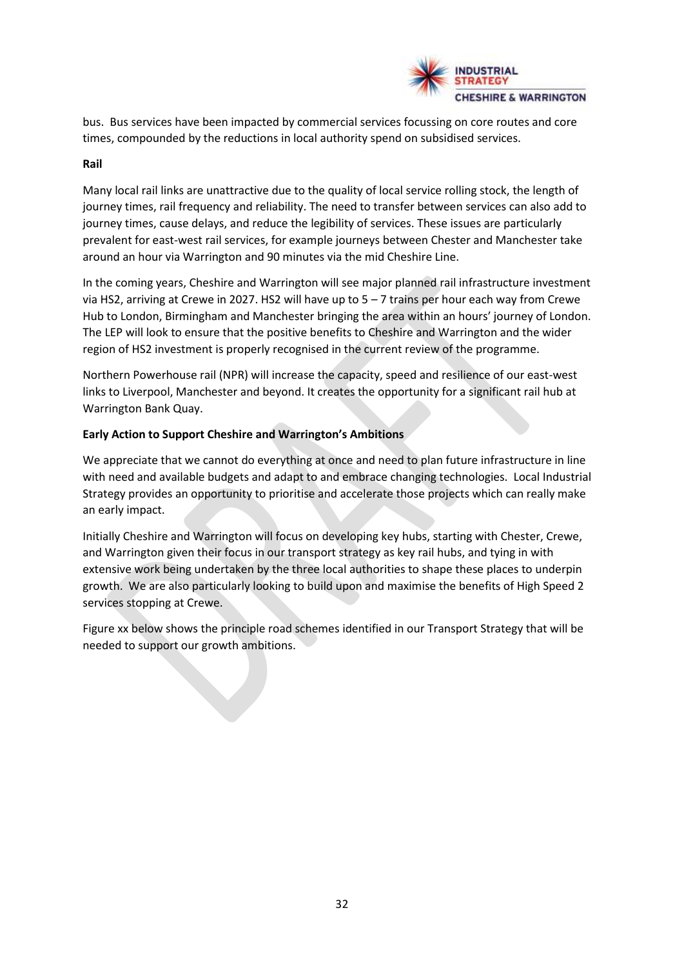

bus. Bus services have been impacted by commercial services focussing on core routes and core times, compounded by the reductions in local authority spend on subsidised services.

#### **Rail**

Many local rail links are unattractive due to the quality of local service rolling stock, the length of journey times, rail frequency and reliability. The need to transfer between services can also add to journey times, cause delays, and reduce the legibility of services. These issues are particularly prevalent for east-west rail services, for example journeys between Chester and Manchester take around an hour via Warrington and 90 minutes via the mid Cheshire Line.

In the coming years, Cheshire and Warrington will see major planned rail infrastructure investment via HS2, arriving at Crewe in 2027. HS2 will have up to 5 – 7 trains per hour each way from Crewe Hub to London, Birmingham and Manchester bringing the area within an hours' journey of London. The LEP will look to ensure that the positive benefits to Cheshire and Warrington and the wider region of HS2 investment is properly recognised in the current review of the programme.

Northern Powerhouse rail (NPR) will increase the capacity, speed and resilience of our east-west links to Liverpool, Manchester and beyond. It creates the opportunity for a significant rail hub at Warrington Bank Quay.

#### **Early Action to Support Cheshire and Warrington's Ambitions**

We appreciate that we cannot do everything at once and need to plan future infrastructure in line with need and available budgets and adapt to and embrace changing technologies. Local Industrial Strategy provides an opportunity to prioritise and accelerate those projects which can really make an early impact.

Initially Cheshire and Warrington will focus on developing key hubs, starting with Chester, Crewe, and Warrington given their focus in our transport strategy as key rail hubs, and tying in with extensive work being undertaken by the three local authorities to shape these places to underpin growth. We are also particularly looking to build upon and maximise the benefits of High Speed 2 services stopping at Crewe.

Figure xx below shows the principle road schemes identified in our Transport Strategy that will be needed to support our growth ambitions.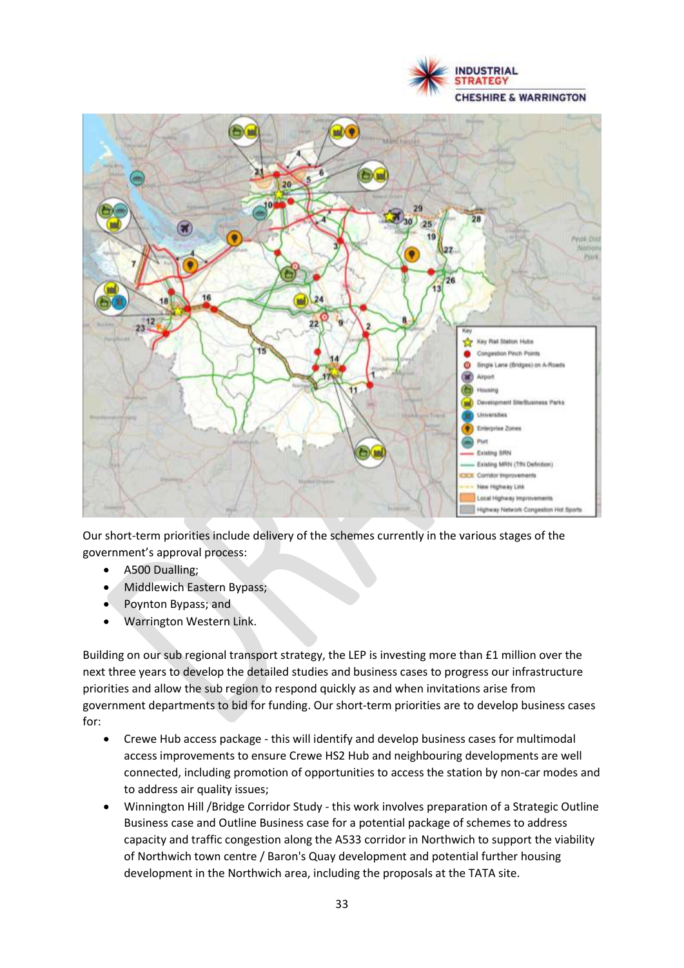



Our short-term priorities include delivery of the schemes currently in the various stages of the government's approval process:

- A500 Dualling;
- Middlewich Eastern Bypass;
- Poynton Bypass; and
- Warrington Western Link.

Building on our sub regional transport strategy, the LEP is investing more than £1 million over the next three years to develop the detailed studies and business cases to progress our infrastructure priorities and allow the sub region to respond quickly as and when invitations arise from government departments to bid for funding. Our short-term priorities are to develop business cases for:

- Crewe Hub access package this will identify and develop business cases for multimodal access improvements to ensure Crewe HS2 Hub and neighbouring developments are well connected, including promotion of opportunities to access the station by non-car modes and to address air quality issues;
- Winnington Hill /Bridge Corridor Study this work involves preparation of a Strategic Outline Business case and Outline Business case for a potential package of schemes to address capacity and traffic congestion along the A533 corridor in Northwich to support the viability of Northwich town centre / Baron's Quay development and potential further housing development in the Northwich area, including the proposals at the TATA site.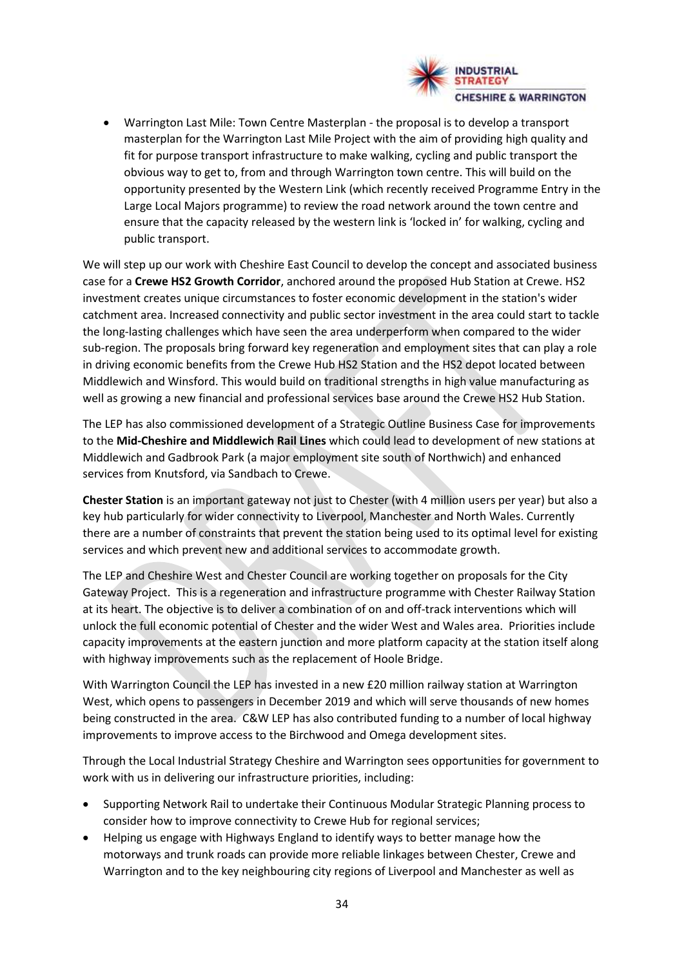

• Warrington Last Mile: Town Centre Masterplan - the proposal is to develop a transport masterplan for the Warrington Last Mile Project with the aim of providing high quality and fit for purpose transport infrastructure to make walking, cycling and public transport the obvious way to get to, from and through Warrington town centre. This will build on the opportunity presented by the Western Link (which recently received Programme Entry in the Large Local Majors programme) to review the road network around the town centre and ensure that the capacity released by the western link is 'locked in' for walking, cycling and public transport.

We will step up our work with Cheshire East Council to develop the concept and associated business case for a **Crewe HS2 Growth Corridor**, anchored around the proposed Hub Station at Crewe. HS2 investment creates unique circumstances to foster economic development in the station's wider catchment area. Increased connectivity and public sector investment in the area could start to tackle the long-lasting challenges which have seen the area underperform when compared to the wider sub-region. The proposals bring forward key regeneration and employment sites that can play a role in driving economic benefits from the Crewe Hub HS2 Station and the HS2 depot located between Middlewich and Winsford. This would build on traditional strengths in high value manufacturing as well as growing a new financial and professional services base around the Crewe HS2 Hub Station.

The LEP has also commissioned development of a Strategic Outline Business Case for improvements to the **Mid-Cheshire and Middlewich Rail Lines** which could lead to development of new stations at Middlewich and Gadbrook Park (a major employment site south of Northwich) and enhanced services from Knutsford, via Sandbach to Crewe.

**Chester Station** is an important gateway not just to Chester (with 4 million users per year) but also a key hub particularly for wider connectivity to Liverpool, Manchester and North Wales. Currently there are a number of constraints that prevent the station being used to its optimal level for existing services and which prevent new and additional services to accommodate growth.

The LEP and Cheshire West and Chester Council are working together on proposals for the City Gateway Project. This is a regeneration and infrastructure programme with Chester Railway Station at its heart. The objective is to deliver a combination of on and off-track interventions which will unlock the full economic potential of Chester and the wider West and Wales area. Priorities include capacity improvements at the eastern junction and more platform capacity at the station itself along with highway improvements such as the replacement of Hoole Bridge.

With Warrington Council the LEP has invested in a new £20 million railway station at Warrington West, which opens to passengers in December 2019 and which will serve thousands of new homes being constructed in the area. C&W LEP has also contributed funding to a number of local highway improvements to improve access to the Birchwood and Omega development sites.

Through the Local Industrial Strategy Cheshire and Warrington sees opportunities for government to work with us in delivering our infrastructure priorities, including:

- Supporting Network Rail to undertake their Continuous Modular Strategic Planning process to consider how to improve connectivity to Crewe Hub for regional services;
- Helping us engage with Highways England to identify ways to better manage how the motorways and trunk roads can provide more reliable linkages between Chester, Crewe and Warrington and to the key neighbouring city regions of Liverpool and Manchester as well as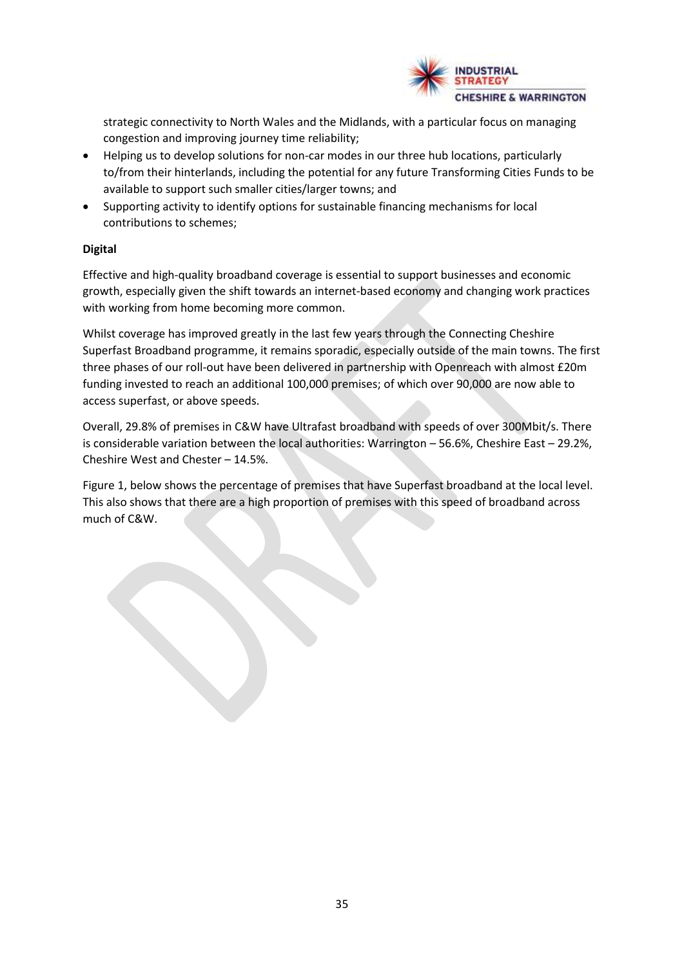

strategic connectivity to North Wales and the Midlands, with a particular focus on managing congestion and improving journey time reliability;

- Helping us to develop solutions for non-car modes in our three hub locations, particularly to/from their hinterlands, including the potential for any future Transforming Cities Funds to be available to support such smaller cities/larger towns; and
- Supporting activity to identify options for sustainable financing mechanisms for local contributions to schemes;

# **Digital**

Effective and high-quality broadband coverage is essential to support businesses and economic growth, especially given the shift towards an internet-based economy and changing work practices with working from home becoming more common.

Whilst coverage has improved greatly in the last few years through the Connecting Cheshire Superfast Broadband programme, it remains sporadic, especially outside of the main towns. The first three phases of our roll-out have been delivered in partnership with Openreach with almost £20m funding invested to reach an additional 100,000 premises; of which over 90,000 are now able to access superfast, or above speeds.

Overall, 29.8% of premises in C&W have Ultrafast broadband with speeds of over 300Mbit/s. There is considerable variation between the local authorities: Warrington – 56.6%, Cheshire East – 29.2%, Cheshire West and Chester – 14.5%.

Figure 1, below shows the percentage of premises that have Superfast broadband at the local level. This also shows that there are a high proportion of premises with this speed of broadband across much of C&W.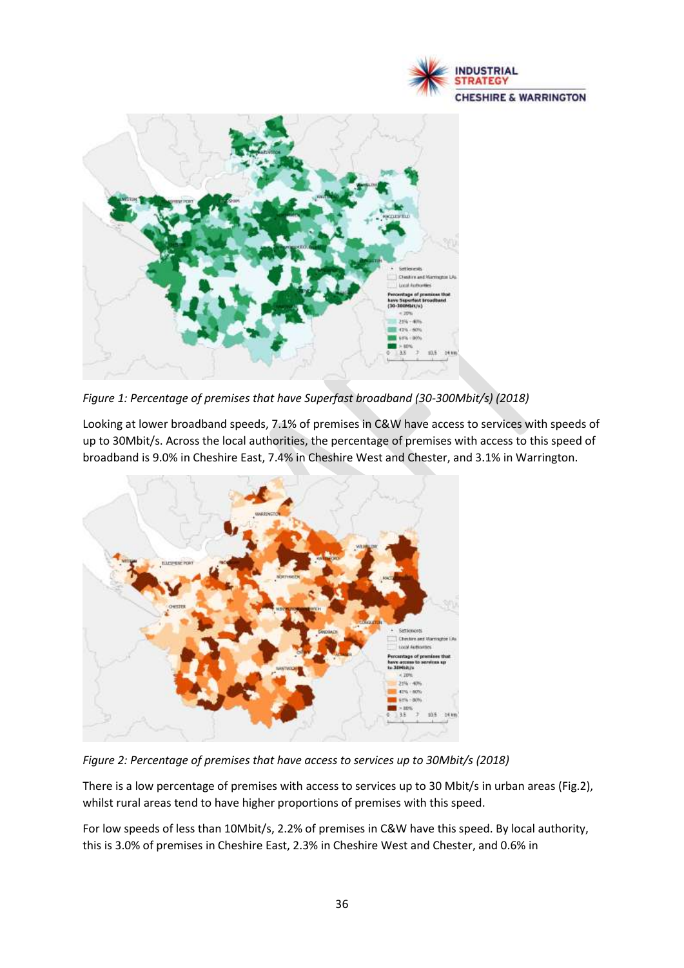



*Figure 1: Percentage of premises that have Superfast broadband (30-300Mbit/s) (2018)*

Looking at lower broadband speeds, 7.1% of premises in C&W have access to services with speeds of up to 30Mbit/s. Across the local authorities, the percentage of premises with access to this speed of broadband is 9.0% in Cheshire East, 7.4% in Cheshire West and Chester, and 3.1% in Warrington.



*Figure 2: Percentage of premises that have access to services up to 30Mbit/s (2018)*

There is a low percentage of premises with access to services up to 30 Mbit/s in urban areas (Fig.2), whilst rural areas tend to have higher proportions of premises with this speed.

For low speeds of less than 10Mbit/s, 2.2% of premises in C&W have this speed. By local authority, this is 3.0% of premises in Cheshire East, 2.3% in Cheshire West and Chester, and 0.6% in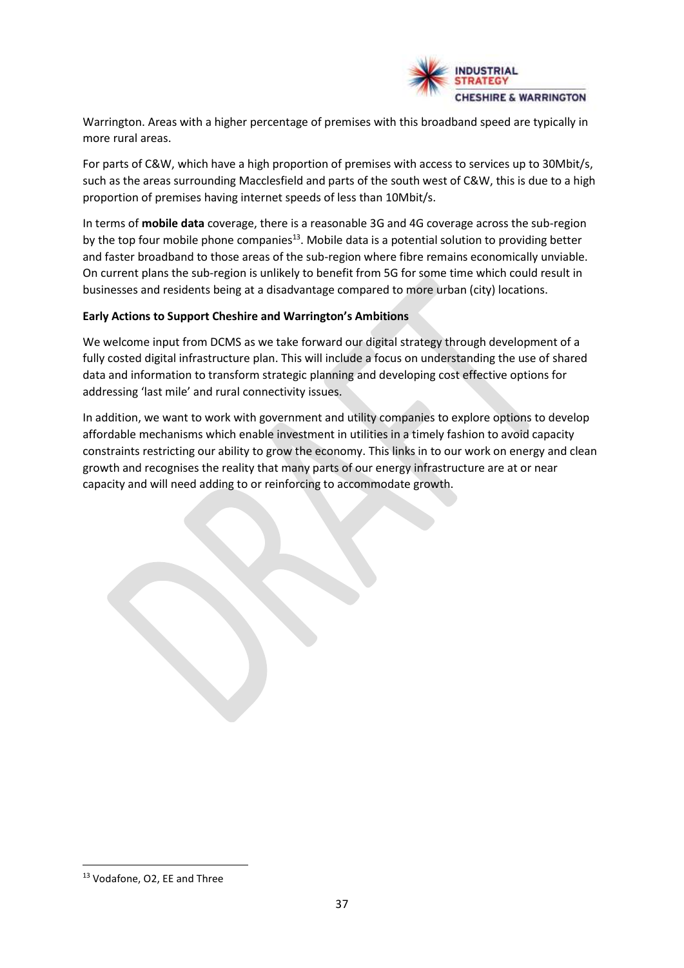

Warrington. Areas with a higher percentage of premises with this broadband speed are typically in more rural areas.

For parts of C&W, which have a high proportion of premises with access to services up to 30Mbit/s, such as the areas surrounding Macclesfield and parts of the south west of C&W, this is due to a high proportion of premises having internet speeds of less than 10Mbit/s.

In terms of **mobile data** coverage, there is a reasonable 3G and 4G coverage across the sub-region by the top four mobile phone companies<sup>13</sup>. Mobile data is a potential solution to providing better and faster broadband to those areas of the sub-region where fibre remains economically unviable. On current plans the sub-region is unlikely to benefit from 5G for some time which could result in businesses and residents being at a disadvantage compared to more urban (city) locations.

#### **Early Actions to Support Cheshire and Warrington's Ambitions**

We welcome input from DCMS as we take forward our digital strategy through development of a fully costed digital infrastructure plan. This will include a focus on understanding the use of shared data and information to transform strategic planning and developing cost effective options for addressing 'last mile' and rural connectivity issues.

In addition, we want to work with government and utility companies to explore options to develop affordable mechanisms which enable investment in utilities in a timely fashion to avoid capacity constraints restricting our ability to grow the economy. This links in to our work on energy and clean growth and recognises the reality that many parts of our energy infrastructure are at or near capacity and will need adding to or reinforcing to accommodate growth.

<sup>13</sup> Vodafone, O2, EE and Three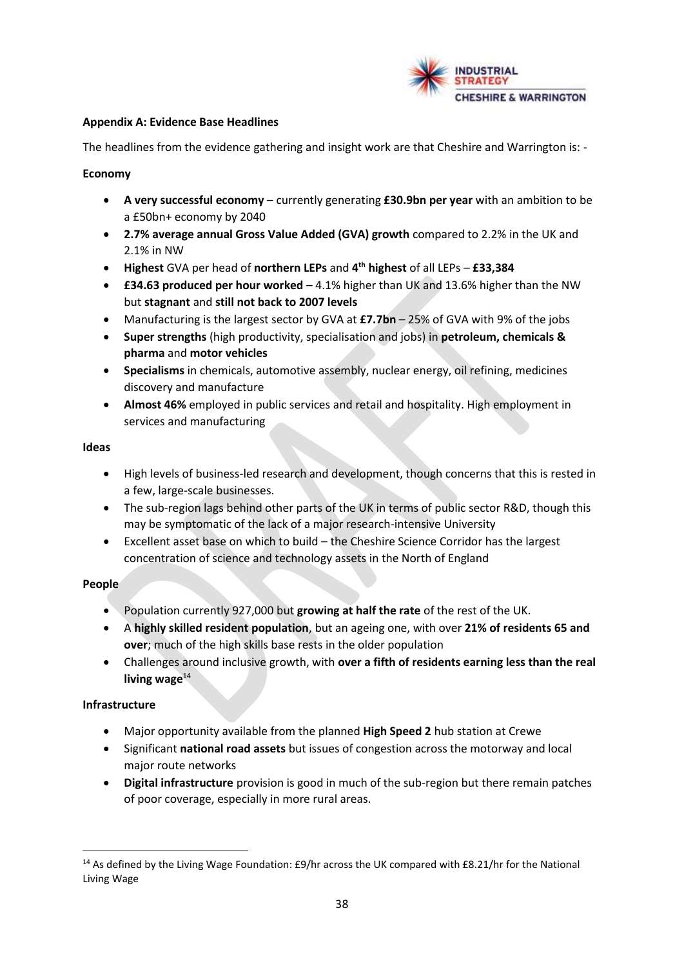

#### **Appendix A: Evidence Base Headlines**

The headlines from the evidence gathering and insight work are that Cheshire and Warrington is: -

#### **Economy**

- **A very successful economy** currently generating **£30.9bn per year** with an ambition to be a £50bn+ economy by 2040
- **2.7% average annual Gross Value Added (GVA) growth** compared to 2.2% in the UK and 2.1% in NW
- **Highest** GVA per head of **northern LEPs** and **4 th highest** of all LEPs **£33,384**
- **£34.63 produced per hour worked**  4.1% higher than UK and 13.6% higher than the NW but **stagnant** and **still not back to 2007 levels**
- Manufacturing is the largest sector by GVA at **£7.7bn**  25% of GVA with 9% of the jobs
- **Super strengths** (high productivity, specialisation and jobs) in **petroleum, chemicals & pharma** and **motor vehicles**
- **Specialisms** in chemicals, automotive assembly, nuclear energy, oil refining, medicines discovery and manufacture
- **Almost 46%** employed in public services and retail and hospitality. High employment in services and manufacturing

#### **Ideas**

- High levels of business-led research and development, though concerns that this is rested in a few, large-scale businesses.
- The sub-region lags behind other parts of the UK in terms of public sector R&D, though this may be symptomatic of the lack of a major research-intensive University
- Excellent asset base on which to build the Cheshire Science Corridor has the largest concentration of science and technology assets in the North of England

#### **People**

- Population currently 927,000 but **growing at half the rate** of the rest of the UK.
- A **highly skilled resident population**, but an ageing one, with over **21% of residents 65 and over**; much of the high skills base rests in the older population
- Challenges around inclusive growth, with **over a fifth of residents earning less than the real**  living wage<sup>14</sup>

#### **Infrastructure**

- Major opportunity available from the planned **High Speed 2** hub station at Crewe
- Significant **national road assets** but issues of congestion across the motorway and local major route networks
- **Digital infrastructure** provision is good in much of the sub-region but there remain patches of poor coverage, especially in more rural areas.

<sup>&</sup>lt;sup>14</sup> As defined by the Living Wage Foundation: £9/hr across the UK compared with £8.21/hr for the National Living Wage